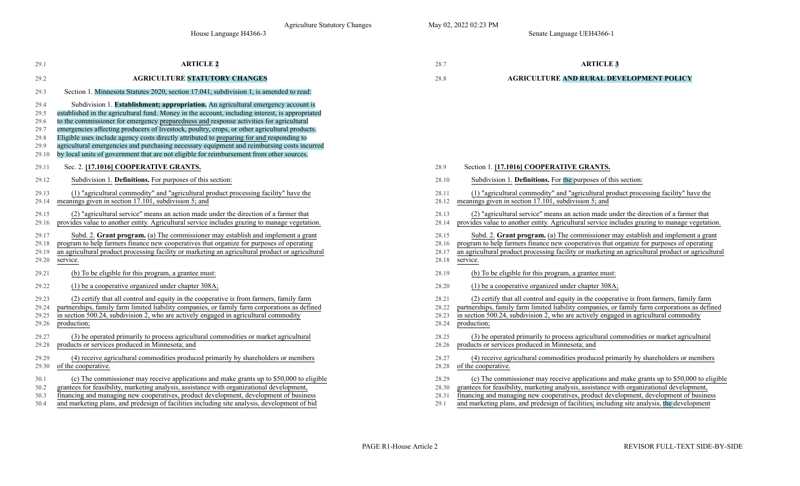House Language H4366-3 Senate Language UEH4366-1

28.7 **ARTICLE 3** 28.8 **AGRICULTURE AND RURAL DEVELOPMENT POLICY** 29.1 **ARTICLE 2** 29.2 **AGRICULTURE STATUTORY CHANGES** 29.3 Section 1. Minnesota Statutes 2020, section 17.041, subdivision 1, is amended to read: 29.4 Subdivision 1. **Establishment; appropriation.** An agricultural emergency account is 29.5 established in the agricultural fund. Money in the account, including interest, is appropriated 29.6 to the commissioner for emergency preparedness and response activities for agricultural 29.7 emergencies affecting producers of livestock, poultry, crops, or other agricultural products. 29.8 Eligible uses include agency costs directly attributed to preparing for and responding to 29.9 agricultural emergencies and purchasing necessary equipment and reimbursing costs incurred 29.10 by local units of government that are not eligible for reimbursement from other sources. 29.11 Sec. 2. **[17.1016] COOPERATIVE GRANTS.** 28.9 Section 1. **[17.1016] COOPERATIVE GRANTS.** 29.12 Subdivision 1. **Definitions.** For purposes of this section: 28.10 Subdivision 1. **Definitions.** For the purposes of this section: 28.11 (1) "agricultural commodity" and "agricultural product processing facility" have the 28.12 meanings given in section 17.101, subdivision 5; and 29.13 (1) "agricultural commodity" and "agricultural product processing facility" have the 29.14 meanings given in section 17.101, subdivision 5; and 28.13 (2) "agricultural service" means an action made under the direction of a farmer that 28.14 provides value to another entity. Agricultural service includes grazing to manage vegetation. 29.15 (2) "agricultural service" means an action made under the direction of a farmer that 29.16 provides value to another entity. Agricultural service includes grazing to manage vegetation. 28.15 Subd. 2. **Grant program.** (a) The commissioner may establish and implement a grant 28.16 program to help farmers finance new cooperatives that organize for purposes of operating 29.17 Subd. 2. **Grant program.** (a) The commissioner may establish and implement a grant 29.18 program to help farmers finance new cooperatives that organize for purposes of operating 28.17 an agricultural product processing facility or marketing an agricultural product or agricultural 28.18 service. 29.19 an agricultural product processing facility or marketing an agricultural product or agricultural 29.20 service. 29.21 (b) To be eligible for this program, a grantee must: 28.19 (b) To be eligible for this program, a grantee must: 29.22 (1) be a cooperative organized under chapter 308A; 28.20 (1) be a cooperative organized under chapter 308A; 28.21 (2) certify that all control and equity in the cooperative is from farmers, family farm 28.22 partnerships, family farm limited liability companies, or family farm corporations as defined 29.23 (2) certify that all control and equity in the cooperative is from farmers, family farm 29.24 partnerships, family farm limited liability companies, or family farm corporations as defined 28.23 in section 500.24, subdivision 2, who are actively engaged in agricultural commodity 28.24 production; 29.25 in section 500.24, subdivision 2, who are actively engaged in agricultural commodity 29.26 production; 28.25 (3) be operated primarily to process agricultural commodities or market agricultural 28.26 products or services produced in Minnesota; and 29.27 (3) be operated primarily to process agricultural commodities or market agricultural 29.28 products or services produced in Minnesota; and 28.27 (4) receive agricultural commodities produced primarily by shareholders or members 28.28 of the cooperative. 29.29 (4) receive agricultural commodities produced primarily by shareholders or members 29.30 of the cooperative. 28.29 (c) The commissioner may receive applications and make grants up to \$50,000 to eligible 28.30 grantees for feasibility, marketing analysis, assistance with organizational development,<br>28.31 financing and managing new cooperatives, product development, development of business 30.1 (c) The commissioner may receive applications and make grants up to \$50,000 to eligible 30.2 grantees for feasibility, marketing analysis, assistance with organizational development, 30.3 financing and managing new cooperatives, product development, development of business 28.31 financing and managing new cooperatives, product development, development of business 30.4 and marketing plans, and predesign of facilities including site analysis, development of bid 29.1 and marketing plans, and predesign of facilities, including site analysis, the development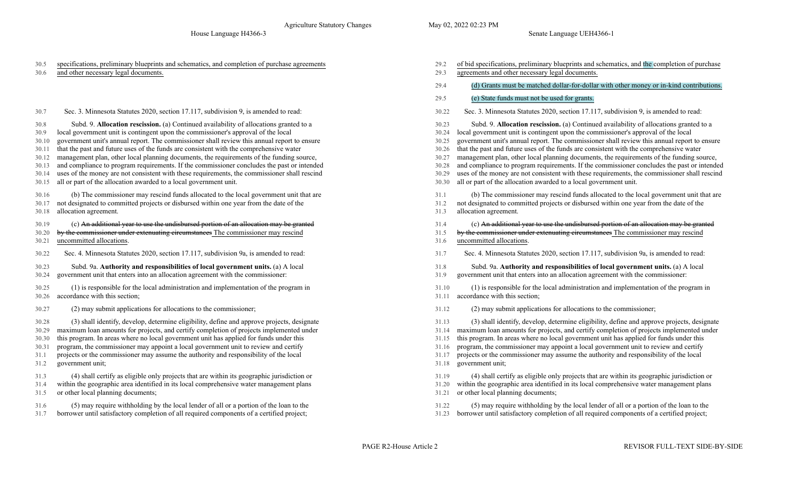Agriculture Statutory Changes May 02, 2022 02:23 PM

## 30.5 specifications, preliminary blueprints and schematics, and completion of purchase agreements

- 30.6 and other necessary legal documents.
- 30.7 Sec. 3. Minnesota Statutes 2020, section 17.117, subdivision 9, is amended to read: 30.22 Sec. 3. Minnesota Statutes 2020, section 17.117, subdivision 9, is amended to read:
- 30.8 Subd. 9. **Allocation rescission.** (a) Continued availability of allocations granted to a
- 30.9 local government unit is contingent upon the commissioner's approval of the local
- 30.10 government unit's annual report. The commissioner shall review this annual report to ensure<br>30.25 government unit's annual report to ensure 30.25 government unit's annual report. The commissioner shall review this an
- 
- 30.12 management plan, other local planning documents, the requirements of the funding source, 30.27 management plan, other local planning documents, the requirements of the funding source,
- 
- 30.14 uses of the money are not consistent with these requirements, the commissioner shall rescind
- 30.15 all or part of the allocation awarded to a local government unit.
- 30.16 (b) The commissioner may rescind funds allocated to the local government unit that are
- 30.17 not designated to committed projects or disbursed within one year from the date of the
- 30.18 allocation agreement.

| 30.19 | (c) An additional year to use the undisbursed portion of an allocation may be granted  |  |
|-------|----------------------------------------------------------------------------------------|--|
|       | 30.20 by the commissioner under extenuating circumstances The commissioner may rescind |  |

- 30.21 uncommitted allocations.
- 30.22 Sec. 4. Minnesota Statutes 2020, section 17.117, subdivision 9a, is amended to read: 31.7 Sec. 4. Minnesota Statutes 2020, section 17.117, subdivision 9a, is amended to read:
- 30.23 Subd. 9a. **Authority and responsibilities of local government units.** (a) A local 30.24 government unit that enters into an allocation agreement with the commissioner:
- 30.25 (1) is responsible for the local administration and implementation of the program in 30.26 accordance with this section;
- 30.27 (2) may submit applications for allocations to the commissioner; 31.12 (2) may submit applications for allocations to the commissioner;

30.28 (3) shall identify, develop, determine eligibility, define and approve projects, designate 30.29 maximum loan amounts for projects, and certify completion of projects implemented under 30.30 this program. In areas where no local government unit has applied for funds under this 30.30 this program. In areas where no local government unit has applied for funds under this 31.15 this program. In areas where no local government unit has applied for funds under this 31.16 this program, the commissioner

- 30.31 program, the commissioner may appoint a local government unit to review and certify 31.16 program, the commissioner may appoint a local government unit to review and certify
- 31.1 projects or the commissioner may assume the authority and responsibility of the local
- 31.2 government unit;

31.3 (4) shall certify as eligible only projects that are within its geographic jurisdiction or 31.4 within the geographic area identified in its local comprehensive water management plans 31.5 or other local planning documents;

- 31.6 (5) may require withholding by the local lender of all or a portion of the loan to the
- 
- 31.7 borrower until satisfactory completion of all required components of a certified project;
- 
- 29.2 of bid specifications, preliminary blueprints and schematics, and the completion of purchase
- 29.3 agreements and other necessary legal documents.
- 29.4 (d) Grants must be matched dollar-for-dollar with other money or in-kind contributions.
- 29.5 (e) State funds must not be used for grants.
- 
- 30.23 Subd. 9. **Allocation rescission.** (a) Continued availability of allocations granted to a
- 30.24 local government unit is contingent upon the commissioner's approval of the local
- 
- 30.11 that the past and future uses of the funds are consistent with the comprehensive water<br>30.12 management plan, other local planning documents, the requirements of the funding source,<br>30.27 management plan, other local
	-
- 30.13 and compliance to program requirements. If the commissioner concludes the past or intended 30.28 and compliance to program requirements. If the commissioner concludes the past or intended
	- 30.29 uses of the money are not consistent with these requirements, the commissioner shall rescind
	- 30.30 all or part of the allocation awarded to a local government unit.
	- 31.1 (b) The commissioner may rescind funds allocated to the local government unit that are
	- 31.2 not designated to committed projects or disbursed within one year from the date of the
	- 31.3 allocation agreement.
	- 31.4 (c) An additional year to use the undisbursed portion of an allocation may be granted
	- 31.5 by the commissioner under extenuating circumstances The commissioner may rescind 31.6 uncommitted allocations.
	-
	- 31.8 Subd. 9a. **Authority and responsibilities of local government units.** (a) A local
	- 31.9 government unit that enters into an allocation agreement with the commissioner:
	- 31.10 (1) is responsible for the local administration and implementation of the program in 31.11 accordance with this section;
	-
	- 31.13 (3) shall identify, develop, determine eligibility, define and approve projects, designate
	- 31.14 maximum loan amounts for projects, and certify completion of projects implemented under
	-
	-
	- 31.17 projects or the commissioner may assume the authority and responsibility of the local
	- 31.18 government unit;

31.19 (4) shall certify as eligible only projects that are within its geographic jurisdiction or 31.20 within the geographic area identified in its local comprehensive water management plans 31.21 or other local planning documents;

31.22 (5) may require withholding by the local lender of all or a portion of the loan to the 31.23 borrower until satisfactory completion of all required components of a certified project;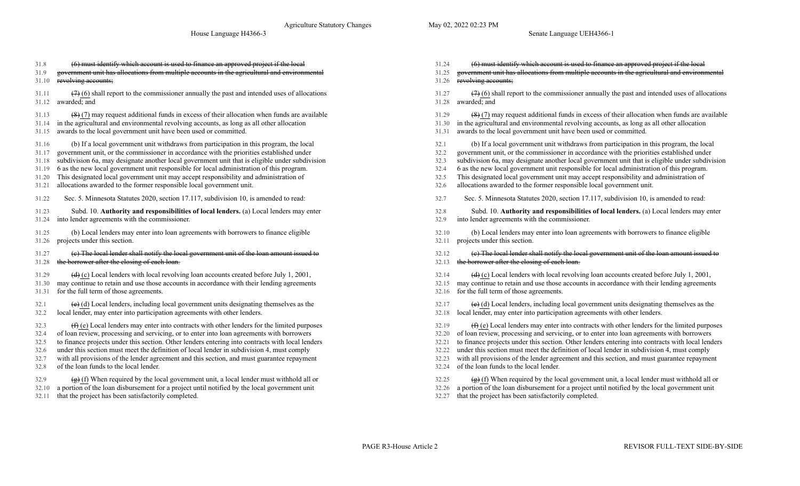31.8 (6) must identify which account is used to finance an approved project if the local

## House Language H4366-3 Senate Language UEH4366-1

31.9 government unit has allocations from multiple accounts in the agricultural and environmental 31.10 revolving accounts;  $31.11$   $(7)$  (6) shall report to the commissioner annually the past and intended uses of allocations 31.12 awarded; and 31.13  $(8)$  (7) may request additional funds in excess of their allocation when funds are available 31.14 in the agricultural and environmental revolving accounts, as long as all other allocation 31.15 awards to the local government unit have been used or committed. 31.16 (b) If a local government unit withdraws from participation in this program, the local 31.17 government unit, or the commissioner in accordance with the priorities established under 31.18 subdivision 6a, may designate another local government unit that is eligible under subdivision 32.3 subdivision 6a, may designate another local government unit that is eligible under subdivision 31.19 6 as the new local government unit responsible for local administration of this program. 32.4 6 as the new local government unit responsible for local administration of this program. 31.20 This designated local government unit may accept responsibility and administration of 31.21 allocations awarded to the former responsible local government unit. 31.22 Sec. 5. Minnesota Statutes 2020, section 17.117, subdivision 10, is amended to read: Sec. 5. Minnesota Statutes 2020, section 17.117, subdivision 10, is amended to read: 31.23 Subd. 10. **Authority and responsibilities of local lenders.** (a) Local lenders may enter 31.24 into lender agreements with the commissioner. 31.25 (b) Local lenders may enter into loan agreements with borrowers to finance eligible 31.26 projects under this section. 31.27 (e) The local lender shall notify the local government unit of the loan amount issued to 31.28 the borrower after the closing of each loan. 31.29 (d) (c) Local lenders with local revolving loan accounts created before July 1, 2001, 31.30 may continue to retain and use those accounts in accordance with their lending agreements 31.31 for the full term of those agreements.  $32.1$  (e) (d) Local lenders, including local government units designating themselves as the 32.2 local lender, may enter into participation agreements with other lenders. 32.3  $(f)$  (e) Local lenders may enter into contracts with other lenders for the limited purposes 32.4 of loan review, processing and servicing, or to enter into loan agreements with borrowers 32.5 to finance projects under this section. Other lenders entering into contracts with local lenders 32.21 to finance projects under this section. Other lenders entering into contracts with local lender in subdivision 4, 32.6 under this section must meet the definition of local lender in subdivision 4, must comply 32.22 under this section must meet the definition of local lender in subdivision 4, must comply 32.7 with all provisions of the lender agreement and this section, and must guarantee repayment 32.8 of the loan funds to the local lender. 32.9  $\left(\frac{e}{x}\right)$  (f) When required by the local government unit, a local lender must withhold all or 32.10 a portion of the loan disbursement for a project until notified by the local government unit 32.11 that the project has been satisfactorily completed.

| 31.24 | (6) must identify which account is used to finance an approved project if the local                |
|-------|----------------------------------------------------------------------------------------------------|
|       | 31.25 government unit has allocations from multiple accounts in the agricultural and environmental |
|       | 31.26 revolving accounts:                                                                          |

 $31.27$   $(7)$  (6) shall report to the commissioner annually the past and intended uses of allocations 31.28 awarded; and

31.29  $(8)$  (7) may request additional funds in excess of their allocation when funds are available

31.30 in the agricultural and environmental revolving accounts, as long as all other allocation

- 31.31 awards to the local government unit have been used or committed.
- 32.1 (b) If a local government unit withdraws from participation in this program, the local
- 32.2 government unit, or the commissioner in accordance with the priorities established under
- 
- 
- 32.5 This designated local government unit may accept responsibility and administration of
- 32.6 allocations awarded to the former responsible local government unit.

32.8 Subd. 10. **Authority and responsibilities of local lenders.** (a) Local lenders may enter 32.9 into lender agreements with the commissioner.

32.10 (b) Local lenders may enter into loan agreements with borrowers to finance eligible 32.11 projects under this section.

## 32.12 (e) The local lender shall notify the local government unit of the loan amount issued to 32.13 the borrower after the closing of each loan.

- 32.14  $\left(\frac{d}{d}\right)$  (c) Local lenders with local revolving loan accounts created before July 1, 2001,
- 32.15 may continue to retain and use those accounts in accordance with their lending agreements 32.16 for the full term of those agreements.
- $32.17$  (e) (d) Local lenders, including local government units designating themselves as the 32.18 local lender, may enter into participation agreements with other lenders.
- $32.19$  (f) (e) Local lenders may enter into contracts with other lenders for the limited purposes
- 32.20 of loan review, processing and servicing, or to enter into loan agreements with borrowers<br>32.21 to finance projects under this section. Other lenders entering into contracts with local lenders
- 
- 
- 32.23 with all provisions of the lender agreement and this section, and must guarantee repayment
- 32.24 of the loan funds to the local lender.
- 32.25  $\left(\frac{e}{x}\right)$  (f) When required by the local government unit, a local lender must withhold all or
- 32.26 a portion of the loan disbursement for a project until notified by the local government unit
- 32.27 that the project has been satisfactorily completed.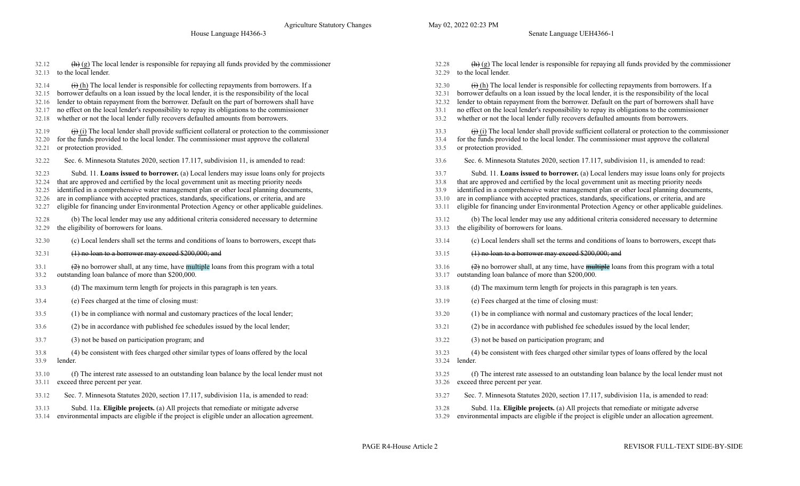- 32.12  $\left(\frac{h}{h}\right)$  (g) The local lender is responsible for repaying all funds provided by the commissioner 32.13 to the local lender.
- $\overrightarrow{a}$  (h) The local lender is responsible for collecting repayments from borrowers. If a
- 32.15 borrower defaults on a loan issued by the local lender, it is the responsibility of the local 32.16 lender to obtain repayment from the borrower. Default on the part of borrowers shall have
- 
- 32.17 no effect on the local lender's responsibility to repay its obligations to the commissioner
- 32.18 whether or not the local lender fully recovers defaulted amounts from borrowers.
- $32.19$  (i) The local lender shall provide sufficient collateral or protection to the commissioner 32.20 for the funds provided to the local lender. The commissioner must approve the collateral
- 32.21 or protection provided.
- 
- 32.23 Subd. 11. **Loans issued to borrower.** (a) Local lenders may issue loans only for projects
- 32.24 that are approved and certified by the local government unit as meeting priority needs
- 32.25 identified in a comprehensive water management plan or other local planning documents, 33.9 identified in a comprehensive water management plan or other local planning documents,
- 32.26 are in compliance with accepted practices, standards, specifications, or criteria, and are
- 32.27 eligible for financing under Environmental Protection Agency or other applicable guidelines.
- 32.28 (b) The local lender may use any additional criteria considered necessary to determine 32.29 the eligibility of borrowers for loans.
- 
- 
- $\frac{2}{2}$  no borrower shall, at any time, have multiple loans from this program with a total 33.2 outstanding loan balance of more than \$200,000.
- 
- 
- 
- 33.6 (2) be in accordance with published fee schedules issued by the local lender; 33.21 (2) be in accordance with published fee schedules issued by the local lender;
- 
- 33.8 (4) be consistent with fees charged other similar types of loans offered by the local 33.9 lender.
- 33.10 (f) The interest rate assessed to an outstanding loan balance by the local lender must not 33.11 exceed three percent per year.
- 
- 33.13 Subd. 11a. **Eligible projects.** (a) All projects that remediate or mitigate adverse
- 33.14 environmental impacts are eligible if the project is eligible under an allocation agreement.
- 32.28  $\left(\frac{h}{h}\right)$  (g) The local lender is responsible for repaying all funds provided by the commissioner 32.29 to the local lender. 32.30  $\leftrightarrow$  (h) The local lender is responsible for collecting repayments from borrowers. If a 32.31 borrower defaults on a loan issued by the local lender, it is the responsibility of the local 32.16 lender to obtain repayment from the borrower. Default on the part of borrowers shall have 32.32 lender to obtain repayment from the borrowers shall have 33.1 no effect on the local lender's responsibility to repay its obligations to the commissioner 33.2 whether or not the local lender fully recovers defaulted amounts from borrowers.  $33.3$  (i) The local lender shall provide sufficient collateral or protection to the commissioner 33.4 for the funds provided to the local lender. The commissioner must approve the collateral 33.5 or protection provided. 32.22 Sec. 6. Minnesota Statutes 2020, section 17.117, subdivision 11, is amended to read: Sec. 6. Minnesota Statutes 2020, section 17.117, subdivision 11, is amended to read: 33.7 Subd. 11. **Loans issued to borrower.** (a) Local lenders may issue loans only for projects 33.8 that are approved and certified by the local government unit as meeting priority needs<br>33.9 identified in a comprehensive water management plan or other local planning documents, 33.10 are in compliance with accepted practices, standards, specifications, or criteria, and are 33.11 eligible for financing under Environmental Protection Agency or other applicable guidelines. 33.12 (b) The local lender may use any additional criteria considered necessary to determine 33.13 the eligibility of borrowers for loans. 32.30 (c) Local lenders shall set the terms and conditions of loans to borrowers, except that: 33.14 (c) Local lenders shall set the terms and conditions of loans to borrowers, except that: 32.31 (1) no loan to a borrower may exceed \$200,000; and 33.15 (1) no loan to a borrower may exceed \$200,000; and 33.16  $\left(2\right)$  no borrower shall, at any time, have multiple loans from this program with a total 33.17 outstanding loan balance of more than \$200,000. 33.3 (d) The maximum term length for projects in this paragraph is ten years. (33.18 (d) The maximum term length for projects in this paragraph is ten years. 33.4 (e) Fees charged at the time of closing must: 33.19 (e) Fees charged at the time of closing must: 33.5 (1) be in compliance with normal and customary practices of the local lender; 33.20 (1) be in compliance with normal and customary practices of the local lender;
	-
- 33.7 (3) not be based on participation program; and 33.22 (3) not be based on participation program; and
	- 33.23 (4) be consistent with fees charged other similar types of loans offered by the local 33.24 lender.
	- 33.25 (f) The interest rate assessed to an outstanding loan balance by the local lender must not 33.26 exceed three percent per year.
- 33.12 Sec. 7. Minnesota Statutes 2020, section 17.117, subdivision 11a, is amended to read: Sac. 7. Minnesota Statutes 2020, section 17.117, subdivision 11a, is amended to read:
	- 33.28 Subd. 11a. **Eligible projects.** (a) All projects that remediate or mitigate adverse
	- 33.29 environmental impacts are eligible if the project is eligible under an allocation agreement.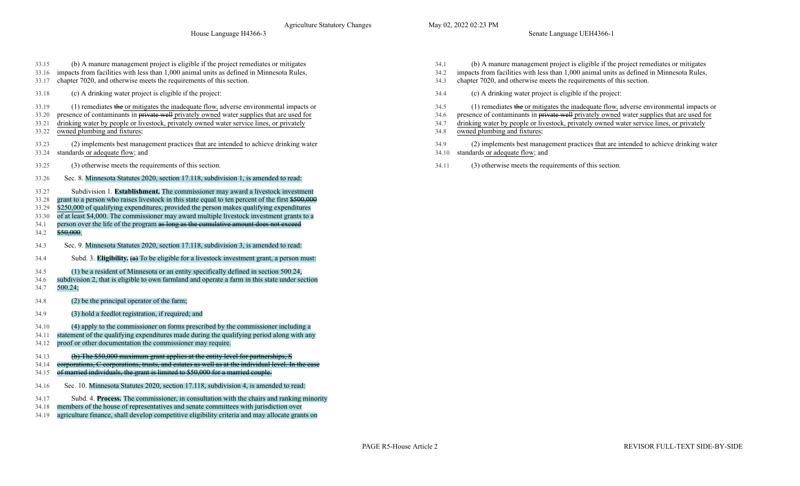- 33.15 (b) A manure management project is eligible if the project remediates or mitigates
- 33.16 impacts from facilities with less than 1,000 animal units as defined in Minnesota Rules,
- 33.17 chapter 7020, and otherwise meets the requirements of this section.
- 33.18 (c) A drinking water project is eligible if the project: (a) a drinking water project is eligible if the project:
- 33.19 (1) remediates the or mitigates the inadequate flow, adverse environmental impacts or
- 33.20 presence of contaminants in **private well** privately owned water supplies that are used for
- 33.21 drinking water by people or livestock, privately owned water service lines, or privately
- 33.22 owned plumbing and fixtures;
- 33.23 (2) implements best management practices that are intended to achieve drinking water 33.24 standards or adequate flow; and
- 33.25 (3) otherwise meets the requirements of this section. 34.11 (3) otherwise meets the requirements of this section.
- 33.26 Sec. 8. Minnesota Statutes 2020, section 17.118, subdivision 1, is amended to read:
- 33.27 Subdivision 1. **Establishment.** The commissioner may award a livestock investment
- 33.28 grant to a person who raises livestock in this state equal to ten percent of the first \$500,000
- 33.29 \$250,000 of qualifying expenditures, provided the person makes qualifying expenditures
- 33.30 of at least \$4,000. The commissioner may award multiple livestock investment grants to a 34.1 person over the life of the program as long as the cumulative amount does not exceed
- 34.2 \$50,000.
- 34.3 Sec. 9. Minnesota Statutes 2020, section 17.118, subdivision 3, is amended to read:
- 34.4 Subd. 3. **Eligibility.** (a) To be eligible for a livestock investment grant, a person must:
- 34.5 (1) be a resident of Minnesota or an entity specifically defined in section 500.24,
- 34.6 subdivision 2, that is eligible to own farmland and operate a farm in this state under section
- 34.7 500.24;
- 34.8 (2) be the principal operator of the farm;
- 34.9 (3) hold a feedlot registration, if required; and
- 34.10 (4) apply to the commissioner on forms prescribed by the commissioner including a
- 34.11 statement of the qualifying expenditures made during the qualifying period along with any
- 34.12 proof or other documentation the commissioner may require.
- 34.13 (b) The \$50,000 maximum grant applies at the entity level for partnerships, S
- 34.14 corporations, C corporations, trusts, and estates as well as at the individual level. In the case
- 34.15 of married individuals, the grant is limited to \$50,000 for a married couple.
- 34.16 Sec. 10. Minnesota Statutes 2020, section 17.118, subdivision 4, is amended to read:
- 34.17 Subd. 4. **Process.** The commissioner, in consultation with the chairs and ranking minority
- 34.18 members of the house of representatives and senate committees with jurisdiction over
- 34.19 agriculture finance, shall develop competitive eligibility criteria and may allocate grants on
- 34.1 (b) A manure management project is eligible if the project remediates or mitigates
- 34.2 impacts from facilities with less than 1,000 animal units as defined in Minnesota Rules,
- 34.3 chapter 7020, and otherwise meets the requirements of this section.
- 
- 34.5 (1) remediates the or mitigates the inadequate flow, adverse environmental impacts or
- 34.6 presence of contaminants in private well privately owned water supplies that are used for
- 34.7 drinking water by people or livestock, privately owned water service lines, or privately
- 34.8 owned plumbing and fixtures;
- 34.9 (2) implements best management practices that are intended to achieve drinking water 34.10 standards or adequate flow; and
-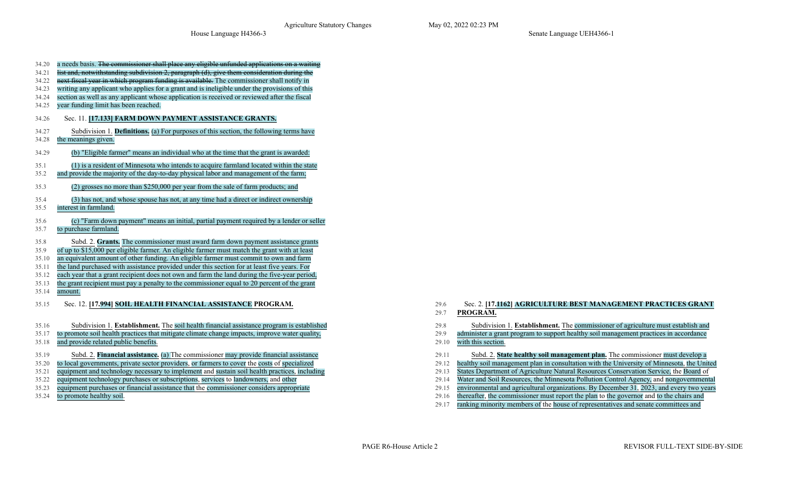| 34.20 | a needs basis. The commissioner shall place any cligible unfunded applications on a waiting                                           |
|-------|---------------------------------------------------------------------------------------------------------------------------------------|
| 34.21 | list and, notwithstanding subdivision 2, paragraph (d), give them consideration during the                                            |
| 34.22 | next fiseal year in which program funding is available. The commissioner shall notify in                                              |
| 34.23 | writing any applicant who applies for a grant and is ineligible under the provisions of this                                          |
| 34.24 | section as well as any applicant whose application is received or reviewed after the fiscal                                           |
| 34.25 | year funding limit has been reached.                                                                                                  |
| 34.26 | Sec. 11. [17.133] FARM DOWN PAYMENT ASSISTANCE GRANTS.                                                                                |
| 34.27 | Subdivision 1. <b>Definitions.</b> (a) For purposes of this section, the following terms have                                         |
| 34.28 | the meanings given.                                                                                                                   |
| 34.29 | (b) "Eligible farmer" means an individual who at the time that the grant is awarded:                                                  |
| 35.1  | (1) is a resident of Minnesota who intends to acquire farmland located within the state                                               |
| 35.2  | and provide the majority of the day-to-day physical labor and management of the farm;                                                 |
| 35.3  | (2) grosses no more than \$250,000 per year from the sale of farm products; and                                                       |
| 35.4  | (3) has not, and whose spouse has not, at any time had a direct or indirect ownership                                                 |
| 35.5  | interest in farmland.                                                                                                                 |
| 35.6  | (c) "Farm down payment" means an initial, partial payment required by a lender or seller                                              |
| 35.7  | to purchase farmland.                                                                                                                 |
| 35.8  | Subd. 2. Grants. The commissioner must award farm down payment assistance grants                                                      |
| 35.9  | of up to \$15,000 per eligible farmer. An eligible farmer must match the grant with at least                                          |
| 35.10 | an equivalent amount of other funding. An eligible farmer must commit to own and farm                                                 |
| 35.11 | the land purchased with assistance provided under this section for at least five years. For                                           |
| 35.12 | each year that a grant recipient does not own and farm the land during the five-year period,                                          |
| 35.13 | the grant recipient must pay a penalty to the commissioner equal to 20 percent of the grant                                           |
| 35.14 | amount.                                                                                                                               |
| 35.15 | Sec. 12. [17.994] SOIL HEALTH FINANCIAL ASSISTANCE PROGRAM.                                                                           |
|       |                                                                                                                                       |
| 35.16 | Subdivision 1. Establishment. The soil health financial assistance program is established                                             |
| 35.17 | to promote soil health practices that mitigate climate change impacts, improve water quality,<br>and provide related public benefits. |
| 35.18 |                                                                                                                                       |
| 35.19 | Subd. 2. <b>Financial assistance.</b> (a) The commissioner may provide financial assistance                                           |
| 35.20 | to local governments, private sector providers, or farmers to cover the costs of specialized                                          |
| 35.21 | equipment and technology necessary to implement and sustain soil health practices, including                                          |
| 35.22 | equipment technology purchases or subscriptions, services to landowners, and other                                                    |
| 35.23 | equipment purchases or financial assistance that the commissioner considers appropriate                                               |
| 35.24 | to promote healthy soil.                                                                                                              |

### 29.6 Sec. 2. **[17.1162] AGRICULTURE BEST MANAGEMENT PRACTICES GRANT** 29.7 **PROGRAM.**

- 29.8 Subdivision 1. **Establishment.** The commissioner of agriculture must establish and
- 29.9 administer a grant program to support healthy soil management practices in accordance

# 29.10 with this section.

- 29.11 Subd. 2. **State healthy soil management plan.** The commissioner must develop a
- 29.12 healthy soil management plan in consultation with the University of Minnesota, the United
- 29.13 States Department of Agriculture Natural Resources Conservation Service, the Board of
- 29.14 Water and Soil Resources, the Minnesota Pollution Control Agency, and nongovernmental
- 29.15 environmental and agricultural organizations. By December 31, 2023, and every two years
- 29.16 thereafter, the commissioner must report the plan to the governor and to the chairs and
- 29.17 ranking minority members of the house of representatives and senate committees and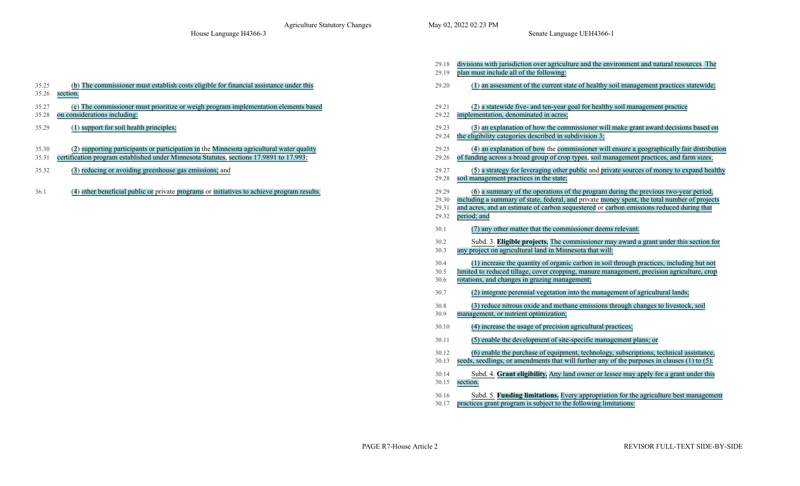|                |                                                                                                                                                                                     | 29.18<br>29.19                   | divisions with jurisdiction over agriculture and the environment and natural resources. The<br>plan must include all of the following:                                                                                                                                                         |
|----------------|-------------------------------------------------------------------------------------------------------------------------------------------------------------------------------------|----------------------------------|------------------------------------------------------------------------------------------------------------------------------------------------------------------------------------------------------------------------------------------------------------------------------------------------|
| 35.25<br>35.26 | (b) The commissioner must establish costs eligible for financial assistance under this<br>section.                                                                                  | 29.20                            | (1) an assessment of the current state of healthy soil management practices statewide;                                                                                                                                                                                                         |
| 35.27<br>35.28 | (c) The commissioner must prioritize or weigh program implementation elements based<br>on considerations including:                                                                 | 29.21<br>29.22                   | (2) a statewide five- and ten-year goal for healthy soil management practice<br>implementation, denominated in acres;                                                                                                                                                                          |
| 35.29          | (1) support for soil health principles;                                                                                                                                             | 29.23<br>29.24                   | (3) an explanation of how the commissioner will make grant award decisions based on<br>the eligibility categories described in subdivision 3;                                                                                                                                                  |
| 35.30<br>35.31 | (2) supporting participants or participation in the Minnesota agricultural water quality<br>certification program established under Minnesota Statutes, sections 17.9891 to 17.993; | 29.25<br>29.26                   | (4) an explanation of how the commissioner will ensure a geographically fair distribution<br>of funding across a broad group of crop types, soil management practices, and farm sizes;                                                                                                         |
| 35.32          | (3) reducing or avoiding greenhouse gas emissions; and                                                                                                                              | 29.27<br>29.28                   | (5) a strategy for leveraging other public and private sources of money to expand healthy<br>soil management practices in the state;                                                                                                                                                           |
| 36.1           | (4) other beneficial public or private programs or initiatives to achieve program results.                                                                                          | 29.29<br>29.30<br>29.31<br>29.32 | (6) a summary of the operations of the program during the previous two-year period,<br>including a summary of state, federal, and private money spent, the total number of projects<br>and acres, and an estimate of carbon sequestered or carbon emissions reduced during that<br>period; and |
|                |                                                                                                                                                                                     | 30.1                             | (7) any other matter that the commissioner deems relevant.                                                                                                                                                                                                                                     |
|                |                                                                                                                                                                                     | 30.2<br>30.3                     | Subd. 3. Eligible projects. The commissioner may award a grant under this section for<br>any project on agricultural land in Minnesota that will:                                                                                                                                              |
|                |                                                                                                                                                                                     | 30.4<br>30.5<br>30.6             | (1) increase the quantity of organic carbon in soil through practices, including but not<br>limited to reduced tillage, cover cropping, manure management, precision agriculture, crop<br>rotations, and changes in grazing management;                                                        |
|                |                                                                                                                                                                                     | 30.7                             | (2) integrate perennial vegetation into the management of agricultural lands;                                                                                                                                                                                                                  |
|                |                                                                                                                                                                                     | 30.8<br>30.9                     | (3) reduce nitrous oxide and methane emissions through changes to livestock, soil<br>management, or nutrient optimization;                                                                                                                                                                     |
|                |                                                                                                                                                                                     | 30.10                            | (4) increase the usage of precision agricultural practices;                                                                                                                                                                                                                                    |
|                |                                                                                                                                                                                     | 30.11                            | (5) enable the development of site-specific management plans; or                                                                                                                                                                                                                               |
|                |                                                                                                                                                                                     | 30.12<br>30.13                   | (6) enable the purchase of equipment, technology, subscriptions, technical assistance,<br>seeds, seedlings, or amendments that will further any of the purposes in clauses (1) to (5).                                                                                                         |
|                |                                                                                                                                                                                     | 30.14<br>30.15                   | Subd. 4. Grant eligibility. Any land owner or lessee may apply for a grant under this<br>section.                                                                                                                                                                                              |
|                |                                                                                                                                                                                     | 30.16                            | Subd. 5. Funding limitations. Every appropriation for the agriculture best management                                                                                                                                                                                                          |

30.17 practices grant program is subject to the following limitations: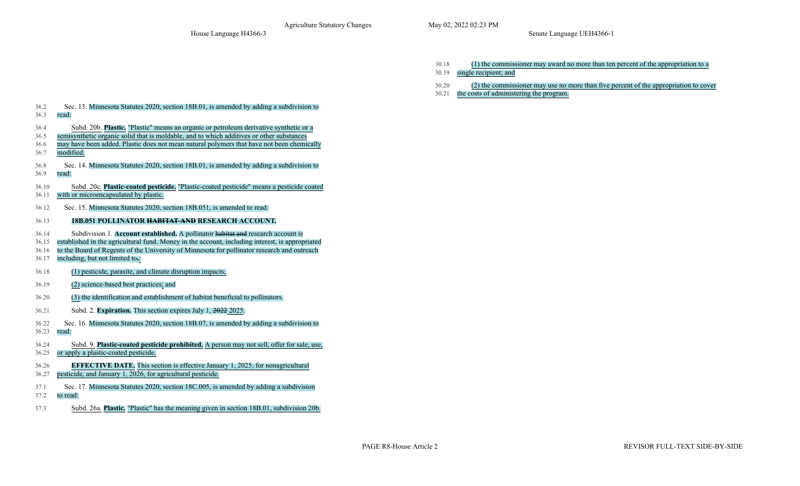House Language H4366-3 Senate Language UEH4366-1

- 30.18 (1) the commissioner may award no more than ten percent of the appropriation to a
- 30.19 single recipient; and
- 30.20 (2) the commissioner may use no more than five percent of the appropriation to cover
- 30.21 the costs of administering the program.

36.2 Sec. 13. Minnesota Statutes 2020, section 18B.01, is amended by adding a subdivision to 36.3 read: 36.4 Subd. 20b. **Plastic.** "Plastic" means an organic or petroleum derivative synthetic or a 36.5 semisynthetic organic solid that is moldable, and to which additives or other substances 36.6 may have been added. Plastic does not mean natural polymers that have not been chemically 36.7 modified. 36.8 Sec. 14. Minnesota Statutes 2020, section 18B.01, is amended by adding a subdivision to 36.9 read: 36.10 Subd. 20c. **Plastic-coated pesticide.** "Plastic-coated pesticide" means a pesticide coated 36.11 with or microencapsulated by plastic. 36.12 Sec. 15. Minnesota Statutes 2020, section 18B.051, is amended to read: 36.13 **18B.051 POLLINATOR HABITAT AND RESEARCH ACCOUNT.** 36.14 Subdivision 1. **Account established.** A pollinator habitat and research account is 36.15 established in the agricultural fund. Money in the account, including interest, is appropriated 36.16 to the Board of Regents of the University of Minnesota for pollinator research and outreach 36.17 including, but not limited to,: 36.18 (1) pesticide, parasite, and climate disruption impacts; 36.19 (2) science-based best practices; and 36.20 (3) the identification and establishment of habitat beneficial to pollinators. 36.21 Subd. 2. **Expiration.** This section expires July 1, 2022 2025. 36.22 Sec. 16. Minnesota Statutes 2020, section 18B.07, is amended by adding a subdivision to 36.23 read: 36.24 Subd. 9. **Plastic-coated pesticide prohibited.** A person may not sell, offer for sale, use, 36.25 or apply a plastic-coated pesticide. 36.26 **EFFECTIVE DATE.** This section is effective January 1, 2025, for nonagricultural 36.27 pesticide, and January 1, 2026, for agricultural pesticide. 37.1 Sec. 17. Minnesota Statutes 2020, section 18C.005, is amended by adding a subdivision 37.2 to read: 37.3 Subd. 26a. **Plastic.** "Plastic" has the meaning given in section 18B.01, subdivision 20b.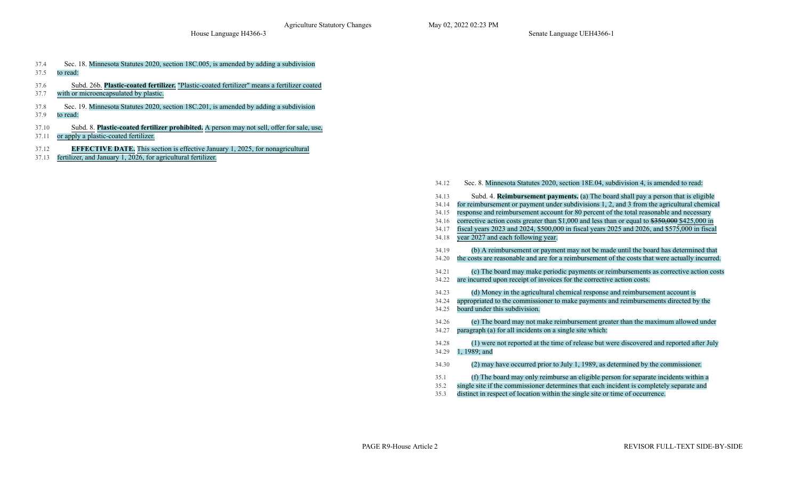- 37.4 Sec. 18. Minnesota Statutes 2020, section 18C.005, is amended by adding a subdivision
- 37.5 to read:
- 37.6 Subd. 26b. **Plastic-coated fertilizer.** "Plastic-coated fertilizer" means a fertilizer coated
- 37.7 with or microencapsulated by plastic.
- 37.8 Sec. 19. Minnesota Statutes 2020, section 18C.201, is amended by adding a subdivision
- 37.9 to read:
- 37.10 Subd. 8. **Plastic-coated fertilizer prohibited.** A person may not sell, offer for sale, use,
- 37.11 or apply a plastic-coated fertilizer.
- 37.12 **EFFECTIVE DATE.** This section is effective January 1, 2025, for nonagricultural
- fertilizer, and January 1, 2026, for agricultural fertilizer.

| 34.12 | Sec. 8. Minnesota Statutes 2020, section 18E.04, subdivision 4, is amended to read:            |
|-------|------------------------------------------------------------------------------------------------|
| 34.13 | Subd. 4. <b>Reimbursement payments.</b> (a) The board shall pay a person that is eligible      |
| 34.14 | for reimbursement or payment under subdivisions 1, 2, and 3 from the agricultural chemical     |
| 34.15 | response and reimbursement account for 80 percent of the total reasonable and necessary        |
| 34.16 | corrective action costs greater than \$1,000 and less than or equal to \$350,000 \$425,000 in  |
| 34.17 | fiscal years 2023 and 2024, \$500,000 in fiscal years 2025 and 2026, and \$575,000 in fiscal   |
| 34.18 | year 2027 and each following year.                                                             |
| 34.19 | (b) A reimbursement or payment may not be made until the board has determined that             |
| 34.20 | the costs are reasonable and are for a reimbursement of the costs that were actually incurred. |
| 34.21 | (c) The board may make periodic payments or reimbursements as corrective action costs          |
| 34.22 | are incurred upon receipt of invoices for the corrective action costs.                         |
| 34.23 | (d) Money in the agricultural chemical response and reimbursement account is                   |
| 34.24 | appropriated to the commissioner to make payments and reimbursements directed by the           |
| 34.25 | board under this subdivision.                                                                  |
| 34.26 | (e) The board may not make reimbursement greater than the maximum allowed under                |
| 34.27 | paragraph (a) for all incidents on a single site which:                                        |
| 34.28 | (1) were not reported at the time of release but were discovered and reported after July       |
| 34.29 | 1, 1989; and                                                                                   |
| 34.30 | (2) may have occurred prior to July 1, 1989, as determined by the commissioner.                |
| 35.1  | (f) The board may only reimburse an eligible person for separate incidents within a            |
| 35.2  | single site if the commissioner determines that each incident is completely separate and       |
| 35.3  | distinct in respect of location within the single site or time of occurrence.                  |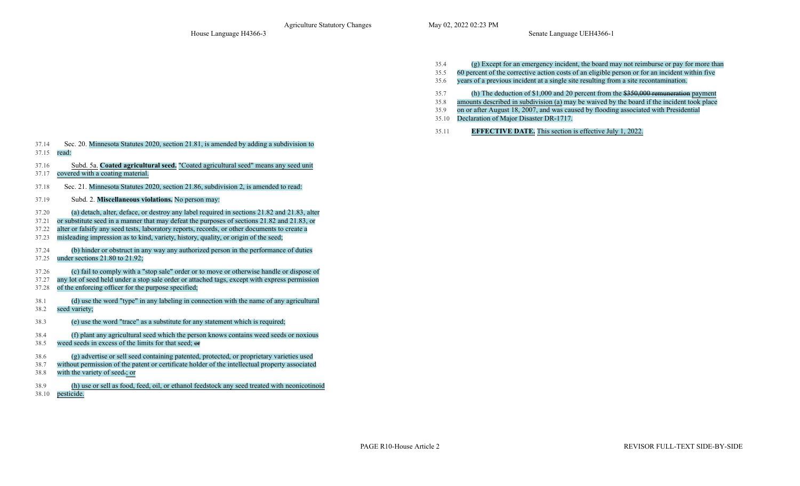- 35.4 (g) Except for an emergency incident, the board may not reimburse or pay for more than
- 35.5 60 percent of the corrective action costs of an eligible person or for an incident within five
- 35.6 years of a previous incident at a single site resulting from a site recontamination.
- 35.7 (h) The deduction of \$1,000 and 20 percent from the \$350,000 remuneration payment
- 35.8 amounts described in subdivision (a) may be waived by the board if the incident took place
- 35.9 on or after August 18, 2007, and was caused by flooding associated with Presidential
- 35.10 Declaration of Major Disaster DR-1717.
- 35.11 **EFFECTIVE DATE.** This section is effective July 1, 2022.

37.16 Subd. 5a. **Coated agricultural seed.** "Coated agricultural seed" means any seed unit 37.17 covered with a coating material. 37.18 Sec. 21. Minnesota Statutes 2020, section 21.86, subdivision 2, is amended to read: 37.19 Subd. 2. **Miscellaneous violations.** No person may: 37.20 (a) detach, alter, deface, or destroy any label required in sections 21.82 and 21.83, alter 37.21 or substitute seed in a manner that may defeat the purposes of sections 21.82 and 21.83, or 37.22 alter or falsify any seed tests, laboratory reports, records, or other documents to create a 37.23 misleading impression as to kind, variety, history, quality, or origin of the seed; 37.24 (b) hinder or obstruct in any way any authorized person in the performance of duties 37.25 under sections 21.80 to 21.92;

37.14 Sec. 20. Minnesota Statutes 2020, section 21.81, is amended by adding a subdivision to

- 37.26 (c) fail to comply with a "stop sale" order or to move or otherwise handle or dispose of
- 37.27 any lot of seed held under a stop sale order or attached tags, except with express permission
- 37.28 of the enforcing officer for the purpose specified;
- 38.1 (d) use the word "type" in any labeling in connection with the name of any agricultural 38.2 seed variety;
- 38.3 (e) use the word "trace" as a substitute for any statement which is required;
- 38.4 (f) plant any agricultural seed which the person knows contains weed seeds or noxious 38.5 weed seeds in excess of the limits for that seed;  $\theta$
- 38.6 (g) advertise or sell seed containing patented, protected, or proprietary varieties used
- 38.7 without permission of the patent or certificate holder of the intellectual property associated
- 38.8 with the variety of seed.; or
- 38.9 (h) use or sell as food, feed, oil, or ethanol feedstock any seed treated with neonicotinoid
- 38.10 pesticide.

37.15 read: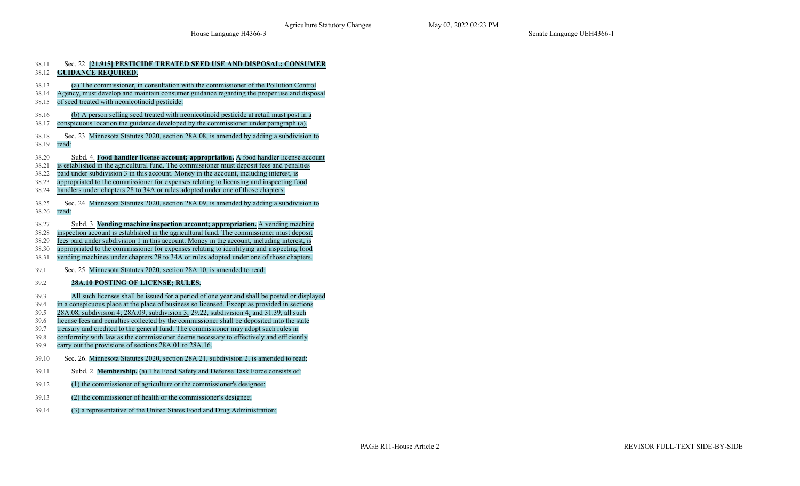| 38.11<br>38.12 | Sec. 22. [21.915] PESTICIDE TREATED SEED USE AND DISPOSAL; CONSUMER<br><b>GUIDANCE REQUIRED.</b>                                                 |
|----------------|--------------------------------------------------------------------------------------------------------------------------------------------------|
| 38.13          | (a) The commissioner, in consultation with the commissioner of the Pollution Control                                                             |
| 38.14          | Agency, must develop and maintain consumer guidance regarding the proper use and disposal                                                        |
| 38.15          | of seed treated with neonicotinoid pesticide.                                                                                                    |
| 38.16          | (b) A person selling seed treated with neonicotinoid pesticide at retail must post in a                                                          |
| 38.17          | conspicuous location the guidance developed by the commissioner under paragraph (a).                                                             |
| 38.18<br>38.19 | Sec. 23. Minnesota Statutes 2020, section 28A.08, is amended by adding a subdivision to<br>read:                                                 |
| 38.20          | Subd. 4. Food handler license account; appropriation. A food handler license account                                                             |
| 38.21          | is established in the agricultural fund. The commissioner must deposit fees and penalties                                                        |
| 38.22          | paid under subdivision 3 in this account. Money in the account, including interest, is                                                           |
| 38.23          | appropriated to the commissioner for expenses relating to licensing and inspecting food                                                          |
| 38.24          | handlers under chapters 28 to 34A or rules adopted under one of those chapters.                                                                  |
| 38.25          | Sec. 24. Minnesota Statutes 2020, section 28A.09, is amended by adding a subdivision to                                                          |
| 38.26          | read:                                                                                                                                            |
| 38.27          | Subd. 3. Vending machine inspection account; appropriation. A vending machine                                                                    |
| 38.28          | inspection account is established in the agricultural fund. The commissioner must deposit                                                        |
| 38.29          | fees paid under subdivision 1 in this account. Money in the account, including interest, is                                                      |
| 38.30          | appropriated to the commissioner for expenses relating to identifying and inspecting food                                                        |
| 38.31          | vending machines under chapters 28 to 34A or rules adopted under one of those chapters.                                                          |
| 39.1           | Sec. 25. Minnesota Statutes 2020, section 28A.10, is amended to read:                                                                            |
| 39.2           | <b>28A.10 POSTING OF LICENSE; RULES.</b>                                                                                                         |
| 39.3           | All such licenses shall be issued for a period of one year and shall be posted or displayed                                                      |
| 39.4           | in a conspicuous place at the place of business so licensed. Except as provided in sections                                                      |
| 39.5           | 28A.08, subdivision 4; 28A.09, subdivision 3; 29.22, subdivision 4; and 31.39, all such                                                          |
| 39.6           | license fees and penalties collected by the commissioner shall be deposited into the state                                                       |
| 39.7           | treasury and credited to the general fund. The commissioner may adopt such rules in                                                              |
| 39.8<br>39.9   | conformity with law as the commissioner deems necessary to effectively and efficiently<br>carry out the provisions of sections 28A.01 to 28A.16. |
| 39.10          | Sec. 26. Minnesota Statutes 2020, section 28A.21, subdivision 2, is amended to read:                                                             |
| 39.11          | Subd. 2. Membership. (a) The Food Safety and Defense Task Force consists of:                                                                     |
| 39.12          | (1) the commissioner of agriculture or the commissioner's designee;                                                                              |
| 39.13          | (2) the commissioner of health or the commissioner's designee;                                                                                   |
| 39.14          | (3) a representative of the United States Food and Drug Administration;                                                                          |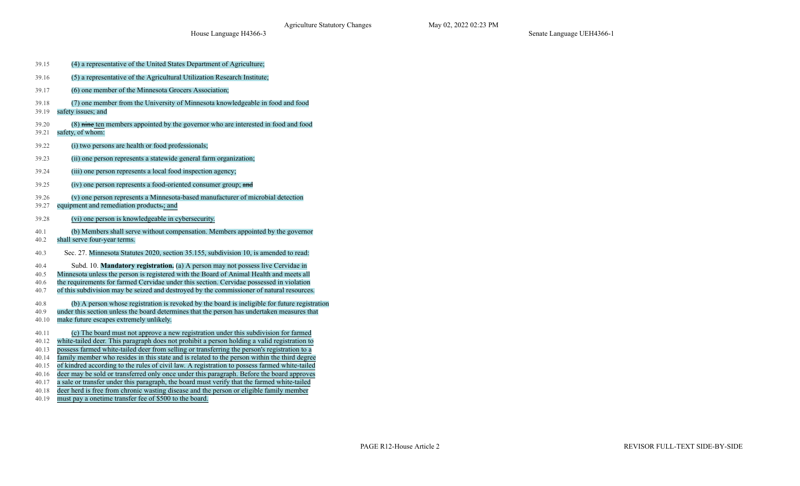| 39.15                        | (4) a representative of the United States Department of Agriculture;                                                                                                                                                                                                                                                                                                       |
|------------------------------|----------------------------------------------------------------------------------------------------------------------------------------------------------------------------------------------------------------------------------------------------------------------------------------------------------------------------------------------------------------------------|
| 39.16                        | (5) a representative of the Agricultural Utilization Research Institute;                                                                                                                                                                                                                                                                                                   |
| 39.17                        | (6) one member of the Minnesota Grocers Association;                                                                                                                                                                                                                                                                                                                       |
| 39.18<br>39.19               | (7) one member from the University of Minnesota knowledgeable in food and food<br>safety issues; and                                                                                                                                                                                                                                                                       |
| 39.20<br>39.21               | (8) nine ten members appointed by the governor who are interested in food and food<br>safety, of whom:                                                                                                                                                                                                                                                                     |
| 39.22                        | (i) two persons are health or food professionals;                                                                                                                                                                                                                                                                                                                          |
| 39.23                        | (ii) one person represents a statewide general farm organization;                                                                                                                                                                                                                                                                                                          |
| 39.24                        | (iii) one person represents a local food inspection agency;                                                                                                                                                                                                                                                                                                                |
| 39.25                        | (iv) one person represents a food-oriented consumer group; and                                                                                                                                                                                                                                                                                                             |
| 39.26<br>39.27               | (v) one person represents a Minnesota-based manufacturer of microbial detection<br>equipment and remediation products.; and                                                                                                                                                                                                                                                |
| 39.28                        | (vi) one person is knowledgeable in cybersecurity.                                                                                                                                                                                                                                                                                                                         |
| 40.1<br>40.2                 | (b) Members shall serve without compensation. Members appointed by the governor<br>shall serve four-year terms.                                                                                                                                                                                                                                                            |
| 40.3                         | Sec. 27. Minnesota Statutes 2020, section 35.155, subdivision 10, is amended to read:                                                                                                                                                                                                                                                                                      |
| 40.4<br>40.5<br>40.6<br>40.7 | Subd. 10. <b>Mandatory registration.</b> (a) A person may not possess live Cervidae in<br>Minnesota unless the person is registered with the Board of Animal Health and meets all<br>the requirements for farmed Cervidae under this section. Cervidae possessed in violation<br>of this subdivision may be seized and destroved by the commissioner of natural resources. |
| 40.8<br>40.9<br>40.10        | (b) A person whose registration is revoked by the board is ineligible for future registration<br>under this section unless the board determines that the person has undertaken measures that<br>make future escapes extremely unlikely.                                                                                                                                    |
| 40.11<br>40.12               | (c) The board must not approve a new registration under this subdivision for farmed<br>white-tailed deer. This paragraph does not prohibit a person holding a valid registration to                                                                                                                                                                                        |
| 40.13                        | possess farmed white-tailed deer from selling or transferring the person's registration to a                                                                                                                                                                                                                                                                               |
| 40.14<br>40.15               | family member who resides in this state and is related to the person within the third degree<br>of kindred according to the rules of civil law. A registration to possess farmed white-tailed                                                                                                                                                                              |
| 40.16                        | deer may be sold or transferred only once under this paragraph. Before the board approves                                                                                                                                                                                                                                                                                  |
| 40.17                        | a sale or transfer under this paragraph, the board must verify that the farmed white-tailed                                                                                                                                                                                                                                                                                |
| 40.18                        | deer herd is free from chronic wasting disease and the person or eligible family member                                                                                                                                                                                                                                                                                    |
| 40.19                        | must pay a onetime transfer fee of \$500 to the board.                                                                                                                                                                                                                                                                                                                     |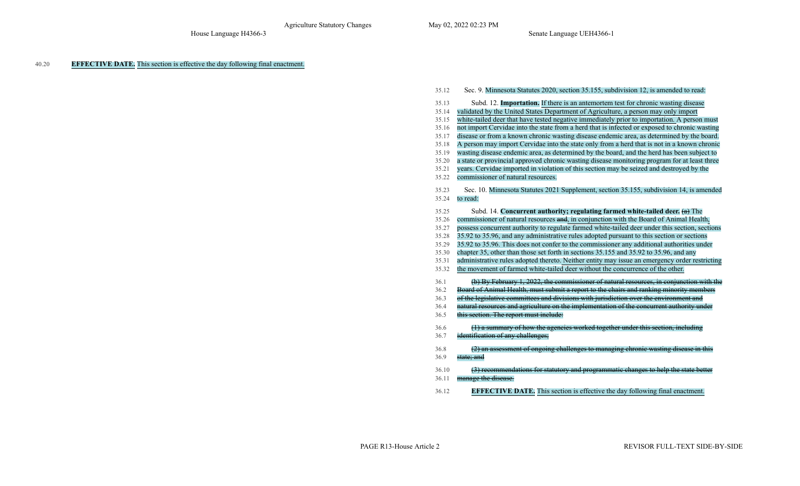40.20 **EFFECTIVE DATE.** This section is effective the day following final enactment.

| 35.12 | Sec. 9. Minnesota Statutes 2020, section 35.155, subdivision 12, is amended to read:           |
|-------|------------------------------------------------------------------------------------------------|
| 35.13 | Subd. 12. <b>Importation.</b> If there is an antemortem test for chronic wasting disease       |
| 35.14 | validated by the United States Department of Agriculture, a person may only import             |
| 35.15 | white-tailed deer that have tested negative immediately prior to importation. A person must    |
| 35.16 | not import Cervidae into the state from a herd that is infected or exposed to chronic wasting  |
| 35.17 | disease or from a known chronic wasting disease endemic area, as determined by the board.      |
| 35.18 | A person may import Cervidae into the state only from a herd that is not in a known chronic    |
| 35.19 | wasting disease endemic area, as determined by the board, and the herd has been subject to     |
| 35.20 | a state or provincial approved chronic wasting disease monitoring program for at least three   |
| 35.21 | years. Cervidae imported in violation of this section may be seized and destroyed by the       |
| 35.22 | commissioner of natural resources.                                                             |
|       |                                                                                                |
| 35.23 | Sec. 10. Minnesota Statutes 2021 Supplement, section 35.155, subdivision 14, is amended        |
| 35.24 | to read:                                                                                       |
| 35.25 | Subd. 14. Concurrent authority; regulating farmed white-tailed deer. $(a)$ The                 |
| 35.26 | commissioner of natural resources and, in conjunction with the Board of Animal Health,         |
| 35.27 | possess concurrent authority to regulate farmed white-tailed deer under this section, sections |
| 35.28 | 35.92 to 35.96, and any administrative rules adopted pursuant to this section or sections      |
| 35.29 | 35.92 to 35.96. This does not confer to the commissioner any additional authorities under      |
| 35.30 | chapter 35, other than those set forth in sections 35.155 and 35.92 to 35.96, and any          |
| 35.31 | administrative rules adopted thereto. Neither entity may issue an emergency order restricting  |
| 35.32 | the movement of farmed white-tailed deer without the concurrence of the other.                 |
| 36.1  | (b) By February 1, 2022, the commissioner of natural resources, in conjunction with the        |
| 36.2  | Board of Animal Health, must submit a report to the chairs and ranking minority members        |
| 36.3  | of the legislative committees and divisions with jurisdiction over the environment and         |
| 36.4  | natural resources and agriculture on the implementation of the concurrent authority under      |
| 36.5  | this section. The report must include:                                                         |
|       |                                                                                                |
| 36.6  | $(1)$ a summary of how the agencies worked together under this section, including              |
| 36.7  | identification of any challenges;                                                              |
| 36.8  | (2) an assessment of ongoing challenges to managing chronic wasting disease in this            |
| 36.9  | state; and                                                                                     |
|       |                                                                                                |
| 36.10 | (3) recommendations for statutory and programmatic changes to help the state better            |
| 36.11 | manage the disease.                                                                            |
| 36.12 | <b>EFFECTIVE DATE.</b> This section is effective the day following final enactment.            |
|       |                                                                                                |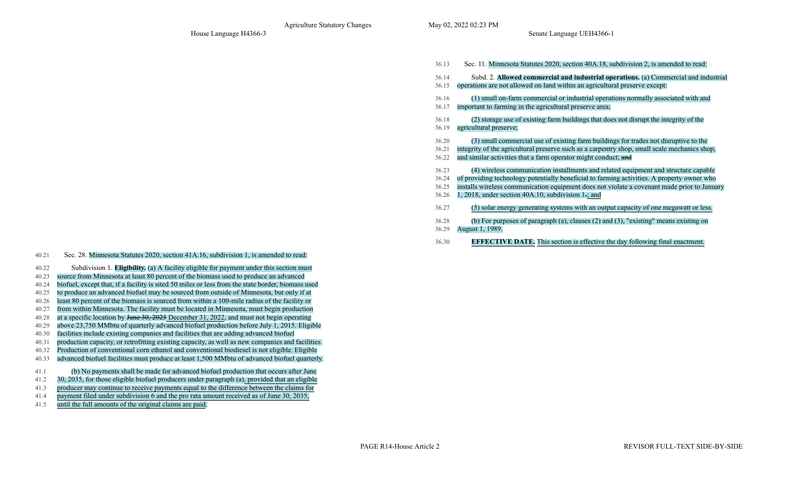| 36.13 | Sec. 11. Minnesota Statutes 2020, section 40A.18, subdivision 2, is amended to read:         |
|-------|----------------------------------------------------------------------------------------------|
| 36.14 | Subd. 2. Allowed commercial and industrial operations. (a) Commercial and industrial         |
| 36.15 | operations are not allowed on land within an agricultural preserve except:                   |
| 36.16 | (1) small on-farm commercial or industrial operations normally associated with and           |
| 36.17 | important to farming in the agricultural preserve area;                                      |
| 36.18 | (2) storage use of existing farm buildings that does not disrupt the integrity of the        |
| 36.19 | agricultural preserve;                                                                       |
| 36.20 | (3) small commercial use of existing farm buildings for trades not disruptive to the         |
| 36.21 | integrity of the agricultural preserve such as a carpentry shop, small scale mechanics shop, |
| 36.22 | and similar activities that a farm operator might conduct; and                               |
| 36.23 | (4) wireless communication installments and related equipment and structure capable          |
| 36.24 | of providing technology potentially beneficial to farming activities. A property owner who   |
| 36.25 | installs wireless communication equipment does not violate a covenant made prior to January  |
| 36.26 | 1, 2018, under section $40A.10$ , subdivision 1.; and                                        |
| 36.27 | (5) solar energy generating systems with an output capacity of one megawatt or less.         |
| 36.28 | (b) For purposes of paragraph (a), clauses (2) and (3), "existing" means existing on         |
| 36.29 | August 1, 1989.                                                                              |
|       | $\blacksquare$<br>$0 \t 11 \t 0 \t 1 \t 1$                                                   |

36.30 **EFFECTIVE DATE.** This section is effective the day following final enactment.

40.22 Subdivision 1. **Eligibility.** (a) A facility eligible for payment under this section must 40.23 source from Minnesota at least 80 percent of the biomass used to produce an advanced 40.24 biofuel, except that, if a facility is sited 50 miles or less from the state border, biomass used 40.25 to produce an advanced biofuel may be sourced from outside of Minnesota, but only if at 40.26 least 80 percent of the biomass is sourced from within a 100-mile radius of the facility or 40.27 from within Minnesota. The facility must be located in Minnesota, must begin production 40.28 at a specific location by <del>June 30, 2025</del> December 31, 2022, and must not begin operating 40.29 above 23,750 MMbtu of quarterly advanced biofuel production before July 1, 2015. Eligible 40.30 facilities include existing companies and facilities that are adding advanced biofuel 40.31 production capacity, or retrofitting existing capacity, as well as new companies and facilities. 40.32 Production of conventional corn ethanol and conventional biodiesel is not eligible. Eligible 40.33 advanced biofuel facilities must produce at least 1,500 MMbtu of advanced biofuel quarterly. 41.1 (b) No payments shall be made for advanced biofuel production that occurs after June 41.2 30, 2035, for those eligible biofuel producers under paragraph (a), provided that an eligible 41.3 producer may continue to receive payments equal to the difference between the claims for

40.21 Sec. 28. Minnesota Statutes 2020, section 41A.16, subdivision 1, is amended to read:

- 41.4 payment filed under subdivision 6 and the pro rata amount received as of June 30, 2035,
- 41.5 until the full amounts of the original claims are paid.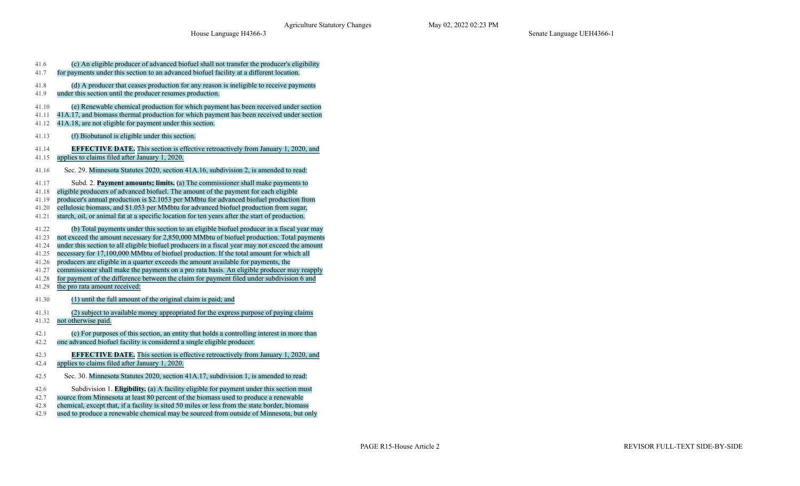| 41.6  | (c) An eligible producer of advanced biofuel shall not transfer the producer's eligibility      |
|-------|-------------------------------------------------------------------------------------------------|
| 41.7  | for payments under this section to an advanced biofuel facility at a different location.        |
| 41.8  | (d) A producer that ceases production for any reason is ineligible to receive payments          |
| 41.9  | under this section until the producer resumes production.                                       |
| 41.10 | (e) Renewable chemical production for which payment has been received under section             |
| 41.11 | 41A.17, and biomass thermal production for which payment has been received under section        |
| 41.12 | 41A.18, are not eligible for payment under this section.                                        |
| 41.13 | (f) Biobutanol is eligible under this section.                                                  |
| 41.14 | <b>EFFECTIVE DATE.</b> This section is effective retroactively from January 1, 2020, and        |
| 41.15 | applies to claims filed after January 1, 2020.                                                  |
| 41.16 | Sec. 29. Minnesota Statutes 2020, section 41A.16, subdivision 2, is amended to read:            |
| 41.17 | Subd. 2. Payment amounts; limits. (a) The commissioner shall make payments to                   |
| 41.18 | eligible producers of advanced biofuel. The amount of the payment for each eligible             |
| 41.19 | producer's annual production is \$2.1053 per MMbtu for advanced biofuel production from         |
| 41.20 | cellulosic biomass, and \$1.053 per MMbtu for advanced biofuel production from sugar,           |
| 41.21 | starch, oil, or animal fat at a specific location for ten years after the start of production.  |
| 41.22 | (b) Total payments under this section to an eligible biofuel producer in a fiscal year may      |
| 41.23 | not exceed the amount necessary for 2,850,000 MMbtu of biofuel production. Total payments       |
| 41.24 | under this section to all eligible biofuel producers in a fiscal year may not exceed the amount |
| 41.25 | necessary for 17,100,000 MMbtu of biofuel production. If the total amount for which all         |
| 41.26 | producers are eligible in a quarter exceeds the amount available for payments, the              |
| 41.27 | commissioner shall make the payments on a pro rata basis. An eligible producer may reapply      |
| 41.28 | for payment of the difference between the claim for payment filed under subdivision 6 and       |
| 41.29 | the pro rata amount received:                                                                   |
| 41.30 | (1) until the full amount of the original claim is paid; and                                    |
| 41.31 | (2) subject to available money appropriated for the express purpose of paying claims            |
| 41.32 | not otherwise paid.                                                                             |
| 42.1  | (c) For purposes of this section, an entity that holds a controlling interest in more than      |
| 42.2  | one advanced biofuel facility is considered a single eligible producer.                         |
| 42.3  | EFFECTIVE DATE. This section is effective retroactively from January 1, 2020, and               |
| 42.4  | applies to claims filed after January 1, 2020.                                                  |
| 42.5  | Sec. 30. Minnesota Statutes 2020, section 41A.17, subdivision 1, is amended to read:            |
| 42.6  | Subdivision 1. Eligibility. (a) A facility eligible for payment under this section must         |
| 42.7  | source from Minnesota at least 80 percent of the biomass used to produce a renewable            |
| 42.8  | chemical, except that, if a facility is sited 50 miles or less from the state border, biomass   |

42.9 used to produce a renewable chemical may be sourced from outside of Minnesota, but only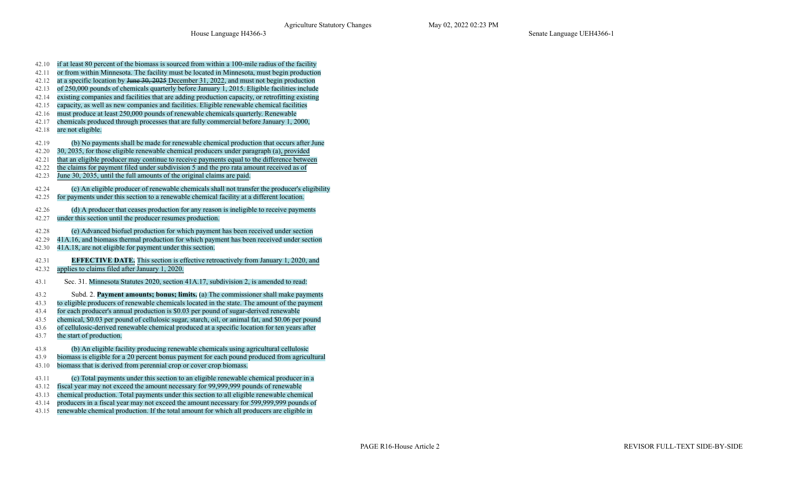| 42.10 | if at least 80 percent of the biomass is sourced from within a 100-mile radius of the facility         |
|-------|--------------------------------------------------------------------------------------------------------|
| 42.11 | or from within Minnesota. The facility must be located in Minnesota, must begin production             |
| 42.12 | at a specific location by $J$ <del>une 30, 2025</del> December 31, 2022, and must not begin production |
| 42.13 | of 250,000 pounds of chemicals quarterly before January 1, 2015. Eligible facilities include           |
| 42.14 | existing companies and facilities that are adding production capacity, or retrofitting existing        |
| 42.15 | capacity, as well as new companies and facilities. Eligible renewable chemical facilities              |
| 42.16 | must produce at least 250,000 pounds of renewable chemicals quarterly. Renewable                       |
| 42.17 | chemicals produced through processes that are fully commercial before January 1, 2000,                 |
| 42.18 | are not eligible.                                                                                      |
| 42.19 | (b) No payments shall be made for renewable chemical production that occurs after June                 |
| 42.20 | 30, 2035, for those eligible renewable chemical producers under paragraph (a), provided                |
| 42.21 | that an eligible producer may continue to receive payments equal to the difference between             |
| 42.22 | the claims for payment filed under subdivision 5 and the pro rata amount received as of                |
| 42.23 | June 30, 2035, until the full amounts of the original claims are paid.                                 |
| 42.24 | (c) An eligible producer of renewable chemicals shall not transfer the producer's eligibility          |
| 42.25 | for payments under this section to a renewable chemical facility at a different location.              |
| 42.26 | (d) A producer that ceases production for any reason is ineligible to receive payments                 |
| 42.27 | under this section until the producer resumes production.                                              |
| 42.28 | (e) Advanced biofuel production for which payment has been received under section                      |
| 42.29 | 41A.16, and biomass thermal production for which payment has been received under section               |
| 42.30 | 41A.18, are not eligible for payment under this section.                                               |
|       |                                                                                                        |
| 42.31 | <b>EFFECTIVE DATE.</b> This section is effective retroactively from January 1, 2020, and               |
| 42.32 | applies to claims filed after January 1, 2020.                                                         |
| 43.1  | Sec. 31. Minnesota Statutes 2020, section 41A.17, subdivision 2, is amended to read:                   |
| 43.2  | Subd. 2. Payment amounts; bonus; limits. (a) The commissioner shall make payments                      |
| 43.3  | to eligible producers of renewable chemicals located in the state. The amount of the payment           |
| 43.4  | for each producer's annual production is \$0.03 per pound of sugar-derived renewable                   |
| 43.5  | chemical, \$0.03 per pound of cellulosic sugar, starch, oil, or animal fat, and \$0.06 per pound       |
| 43.6  | of cellulosic-derived renewable chemical produced at a specific location for ten years after           |
| 43.7  | the start of production.                                                                               |
| 43.8  | (b) An eligible facility producing renewable chemicals using agricultural cellulosic                   |
| 43.9  | biomass is eligible for a 20 percent bonus payment for each pound produced from agricultural           |
| 43.10 | biomass that is derived from perennial crop or cover crop biomass.                                     |
| 43.11 | (c) Total payments under this section to an eligible renewable chemical producer in a                  |
| 43.12 | fiscal year may not exceed the amount necessary for 99,999,999 pounds of renewable                     |
| 43.13 | chemical production. Total payments under this section to all eligible renewable chemical              |
| 43.14 | producers in a fiscal year may not exceed the amount necessary for 599,999,999 pounds of               |
|       |                                                                                                        |

43.15 renewable chemical production. If the total amount for which all producers are eligible in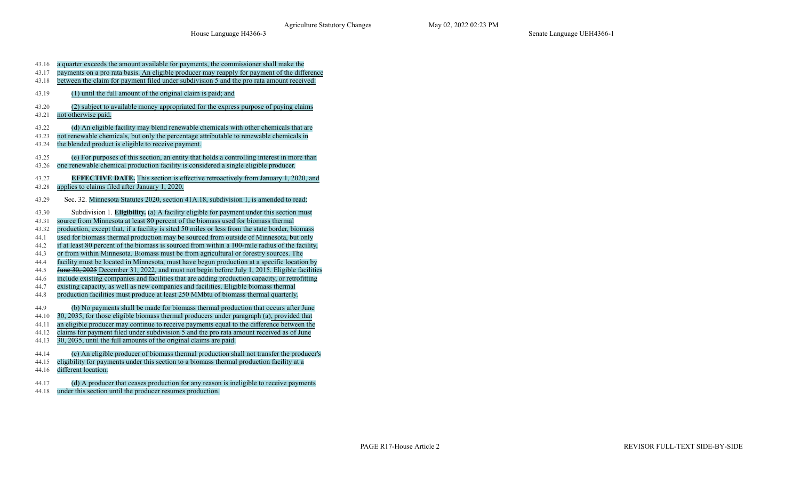| 43.16 | a quarter exceeds the amount available for payments, the commissioner shall make the            |
|-------|-------------------------------------------------------------------------------------------------|
| 43.17 | payments on a pro rata basis. An eligible producer may reapply for payment of the difference    |
| 43.18 | between the claim for payment filed under subdivision 5 and the pro rata amount received:       |
| 43.19 | (1) until the full amount of the original claim is paid; and                                    |
| 43.20 | (2) subject to available money appropriated for the express purpose of paying claims            |
| 43.21 | not otherwise paid.                                                                             |
| 43.22 | (d) An eligible facility may blend renewable chemicals with other chemicals that are            |
| 43.23 | not renewable chemicals, but only the percentage attributable to renewable chemicals in         |
| 43.24 | the blended product is eligible to receive payment.                                             |
| 43.25 | (e) For purposes of this section, an entity that holds a controlling interest in more than      |
| 43.26 | one renewable chemical production facility is considered a single eligible producer.            |
| 43.27 | <b>EFFECTIVE DATE.</b> This section is effective retroactively from January 1, 2020, and        |
| 43.28 | applies to claims filed after January 1, 2020.                                                  |
| 43.29 | Sec. 32. Minnesota Statutes 2020, section 41A.18, subdivision 1, is amended to read:            |
| 43.30 | Subdivision 1. Eligibility. (a) A facility eligible for payment under this section must         |
| 43.31 | source from Minnesota at least 80 percent of the biomass used for biomass thermal               |
| 43.32 | production, except that, if a facility is sited 50 miles or less from the state border, biomass |
| 44.1  | used for biomass thermal production may be sourced from outside of Minnesota, but only          |
| 44.2  | if at least 80 percent of the biomass is sourced from within a 100-mile radius of the facility, |
| 44.3  | or from within Minnesota. Biomass must be from agricultural or forestry sources. The            |
| 44.4  | facility must be located in Minnesota, must have begun production at a specific location by     |
| 44.5  | June 30, 2025 December 31, 2022, and must not begin before July 1, 2015. Eligible facilities    |
| 44.6  | include existing companies and facilities that are adding production capacity, or retrofitting  |
| 44.7  | existing capacity, as well as new companies and facilities. Eligible biomass thermal            |
| 44.8  | production facilities must produce at least 250 MMbtu of biomass thermal quarterly.             |
| 44.9  | (b) No payments shall be made for biomass thermal production that occurs after June             |
| 44.10 | 30, 2035, for those eligible biomass thermal producers under paragraph (a), provided that       |
| 44.11 | an eligible producer may continue to receive payments equal to the difference between the       |
| 44.12 | claims for payment filed under subdivision 5 and the pro rata amount received as of June        |
| 44.13 | 30, 2035, until the full amounts of the original claims are paid.                               |
| 44.14 | (c) An eligible producer of biomass thermal production shall not transfer the producer's        |
| 44.15 | eligibility for payments under this section to a biomass thermal production facility at a       |
| 44.16 | different location.                                                                             |
| 44.17 | (d) A producer that ceases production for any reason is ineligible to receive payments          |

44.18 under this section until the producer resumes production.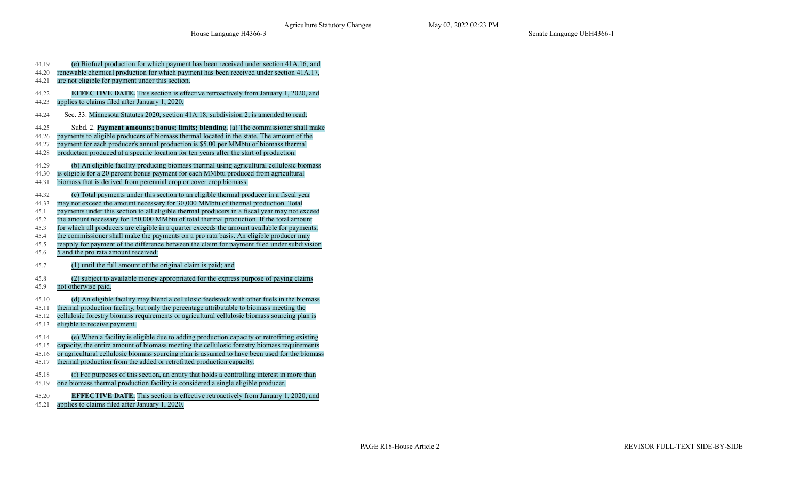| 44.19          | (e) Biofuel production for which payment has been received under section 41A.16, and                                                        |  |  |  |
|----------------|---------------------------------------------------------------------------------------------------------------------------------------------|--|--|--|
| 44.20<br>44.21 | renewable chemical production for which payment has been received under section 41A.17,<br>are not eligible for payment under this section. |  |  |  |
|                |                                                                                                                                             |  |  |  |
| 44.22          | <b>EFFECTIVE DATE.</b> This section is effective retroactively from January 1, 2020, and                                                    |  |  |  |
| 44.23          | applies to claims filed after January 1, 2020.                                                                                              |  |  |  |
| 44.24          | Sec. 33. Minnesota Statutes 2020, section 41A.18, subdivision 2, is amended to read:                                                        |  |  |  |
| 44.25          | Subd. 2. Payment amounts; bonus; limits; blending. (a) The commissioner shall make                                                          |  |  |  |
| 44.26          | payments to eligible producers of biomass thermal located in the state. The amount of the                                                   |  |  |  |
| 44.27          | payment for each producer's annual production is \$5.00 per MMbtu of biomass thermal                                                        |  |  |  |
| 44.28          | production produced at a specific location for ten years after the start of production.                                                     |  |  |  |
| 44.29          | (b) An eligible facility producing biomass thermal using agricultural cellulosic biomass                                                    |  |  |  |
| 44.30          | is eligible for a 20 percent bonus payment for each MMbtu produced from agricultural                                                        |  |  |  |
| 44.31          | biomass that is derived from perennial crop or cover crop biomass.                                                                          |  |  |  |
| 44.32          | (c) Total payments under this section to an eligible thermal producer in a fiscal year                                                      |  |  |  |
| 44.33          | may not exceed the amount necessary for 30,000 MMbtu of thermal production. Total                                                           |  |  |  |
| 45.1           | payments under this section to all eligible thermal producers in a fiscal year may not exceed                                               |  |  |  |
| 45.2           | the amount necessary for 150,000 MMbtu of total thermal production. If the total amount                                                     |  |  |  |
| 45.3           | for which all producers are eligible in a quarter exceeds the amount available for payments,                                                |  |  |  |
| 45.4           | the commissioner shall make the payments on a pro rata basis. An eligible producer may                                                      |  |  |  |
| 45.5           | reapply for payment of the difference between the claim for payment filed under subdivision                                                 |  |  |  |
| 45.6           | 5 and the pro rata amount received:                                                                                                         |  |  |  |
| 45.7           | (1) until the full amount of the original claim is paid; and                                                                                |  |  |  |
| 45.8           | (2) subject to available money appropriated for the express purpose of paying claims                                                        |  |  |  |
| 45.9           | not otherwise paid.                                                                                                                         |  |  |  |
| 45.10          | (d) An eligible facility may blend a cellulosic feedstock with other fuels in the biomass                                                   |  |  |  |
| 45.11          | thermal production facility, but only the percentage attributable to biomass meeting the                                                    |  |  |  |
| 45.12          | cellulosic forestry biomass requirements or agricultural cellulosic biomass sourcing plan is                                                |  |  |  |
| 45.13          | eligible to receive payment.                                                                                                                |  |  |  |
| 45.14          | (e) When a facility is eligible due to adding production capacity or retrofitting existing                                                  |  |  |  |
| 45.15          | capacity, the entire amount of biomass meeting the cellulosic forestry biomass requirements                                                 |  |  |  |
| 45.16          | or agricultural cellulosic biomass sourcing plan is assumed to have been used for the biomass                                               |  |  |  |
| 45.17          | thermal production from the added or retrofitted production capacity.                                                                       |  |  |  |
| 45.18          | (f) For purposes of this section, an entity that holds a controlling interest in more than                                                  |  |  |  |
| 45.19          | one biomass thermal production facility is considered a single eligible producer.                                                           |  |  |  |
| 45.20          | <b>EFFECTIVE DATE.</b> This section is effective retroactively from January 1, 2020, and                                                    |  |  |  |
| 45.21          | applies to claims filed after January 1, 2020.                                                                                              |  |  |  |
|                |                                                                                                                                             |  |  |  |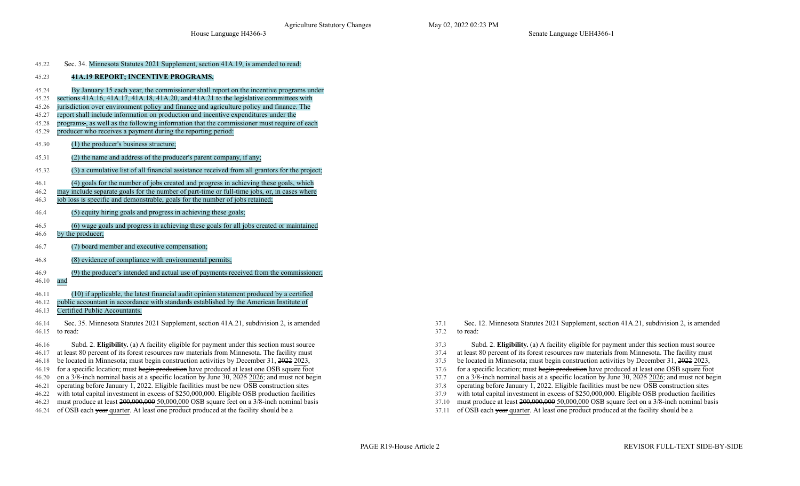- 45.22 Sec. 34. Minnesota Statutes 2021 Supplement, section 41A.19, is amended to read:
- 45.23 **41A.19 REPORT; INCENTIVE PROGRAMS.**
- 45.24 By January 15 each year, the commissioner shall report on the incentive programs under
- 45.25 sections 41A.16, 41A.17, 41A.18, 41A.20, and 41A.21 to the legislative committees with
- 45.26 jurisdiction over environment policy and finance and agriculture policy and finance. The
- 45.27 report shall include information on production and incentive expenditures under the
- 45.28 programs., as well as the following information that the commissioner must require of each
- 45.29 producer who receives a payment during the reporting period:
- 45.30 (1) the producer's business structure;
- 45.31 (2) the name and address of the producer's parent company, if any;
- 45.32 (3) a cumulative list of all financial assistance received from all grantors for the project;
- 46.1 (4) goals for the number of jobs created and progress in achieving these goals, which
- 46.2 may include separate goals for the number of part-time or full-time jobs, or, in cases where
- 46.3 job loss is specific and demonstrable, goals for the number of jobs retained;
- 46.4 (5) equity hiring goals and progress in achieving these goals;
- 46.5 (6) wage goals and progress in achieving these goals for all jobs created or maintained
- 46.6 by the producer;
- 46.7 (7) board member and executive compensation;
- 46.8 (8) evidence of compliance with environmental permits;
- 46.9 (9) the producer's intended and actual use of payments received from the commissioner;
- 46.10 and
- 46.11 (10) if applicable, the latest financial audit opinion statement produced by a certified
- 46.12 public accountant in accordance with standards established by the American Institute of
- 46.13 Certified Public Accountants.
- 46.14 Sec. 35. Minnesota Statutes 2021 Supplement, section 41A.21, subdivision 2, is amended 46.15 to read:
- 46.16 Subd. 2. **Eligibility.** (a) A facility eligible for payment under this section must source
- 46.17 at least 80 percent of its forest resources raw materials from Minnesota. The facility must
- 
- 46.19 for a specific location; must begin production have produced at least one OSB square foot<br>46.20 on a 3/8-inch nominal basis at a specific location by June 30, 2025 2026; and must not begin 37.7 on a 3/8-inch nominal
- 46.20 on a 3/8-inch nominal basis at a specific location by June 30, 2025 2026; and must not begin 37.7 on a 3/8-inch nominal basis at a specific location by June 30, 2025 2026; and must not be a 46.21 operating before Jan
- 46.21 operating before January 1, 2022. Eligible facilities must be new OSB construction sites 37.8 operating before January 1, 2022. Eligible facilities must be new OSB construction sites
- 46.22 with total capital investment in excess of \$250,000,000. Eligible OSB production facilities 37.9 with total capital investment in excess of \$250,000,000. Eligible OSB production facilities 46.23 must produce at least
- 46.23 must produce at least  $200,000,000,000,000$  OSB square feet on a 3/8-inch nominal basis 37.10
- 
- 37.1 Sec. 12. Minnesota Statutes 2021 Supplement, section 41A.21, subdivision 2, is amended 37.2 to read:
- 37.3 Subd. 2. **Eligibility.** (a) A facility eligible for payment under this section must source
- 37.4 at least 80 percent of its forest resources raw materials from Minnesota. The facility must
- 
- 46.18 be located in Minnesota; must begin construction activities by December 31, 2022 2023,<br>46.19 for a specific location; must begin production have produced at least one OSB square foot 37.6 for a specific location; mus
	-
	-
	-
	-
- 46.24 of OSB each year quarter. At least one product produced at the facility should be a 37.11 of OSB each year quarter. At least one product produced at the facility should be a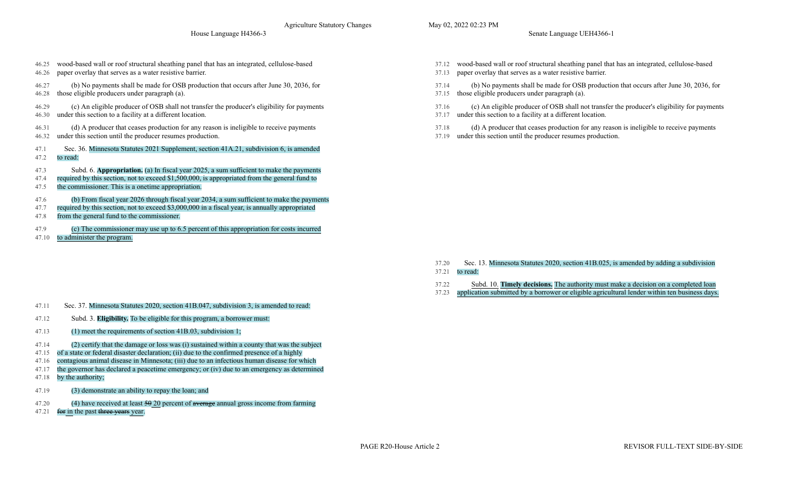- 46.25 wood-based wall or roof structural sheathing panel that has an integrated, cellulose-based
- 46.26 paper overlay that serves as a water resistive barrier.

46.27 (b) No payments shall be made for OSB production that occurs after June 30, 2036, for 46.28 those eligible producers under paragraph (a).

46.29 (c) An eligible producer of OSB shall not transfer the producer's eligibility for payments 46.30 under this section to a facility at a different location.

46.31 (d) A producer that ceases production for any reason is ineligible to receive payments 46.32 under this section until the producer resumes production.

- 47.1 Sec. 36. Minnesota Statutes 2021 Supplement, section 41A.21, subdivision 6, is amended 47.2 to read:
- 47.3 Subd. 6. **Appropriation.** (a) In fiscal year 2025, a sum sufficient to make the payments
- 47.4 required by this section, not to exceed \$1,500,000, is appropriated from the general fund to
- 47.5 the commissioner. This is a onetime appropriation.
- 47.6 (b) From fiscal year 2026 through fiscal year 2034, a sum sufficient to make the payments
- 47.7 required by this section, not to exceed \$3,000,000 in a fiscal year, is annually appropriated
- 47.8 from the general fund to the commissioner.
- 47.9 (c) The commissioner may use up to 6.5 percent of this appropriation for costs incurred
- 47.10 to administer the program.

- 47.11 Sec. 37. Minnesota Statutes 2020, section 41B.047, subdivision 3, is amended to read:
- 47.12 Subd. 3. **Eligibility.** To be eligible for this program, a borrower must:
- 47.13 (1) meet the requirements of section 41B.03, subdivision 1;
- 47.14 (2) certify that the damage or loss was (i) sustained within a county that was the subject
- 47.15 of a state or federal disaster declaration; (ii) due to the confirmed presence of a highly
- 47.16 contagious animal disease in Minnesota; (iii) due to an infectious human disease for which
- 47.17 the governor has declared a peacetime emergency; or (iv) due to an emergency as determined
- 47.18 by the authority;
- 47.19 (3) demonstrate an ability to repay the loan; and
- 47.20 (4) have received at least  $50\,20$  percent of average annual gross income from farming
- 47.21 for in the past three years year.
- 37.12 wood-based wall or roof structural sheathing panel that has an integrated, cellulose-based
- 37.13 paper overlay that serves as a water resistive barrier.
- 37.14 (b) No payments shall be made for OSB production that occurs after June 30, 2036, for 37.15 those eligible producers under paragraph (a).
- 37.16 (c) An eligible producer of OSB shall not transfer the producer's eligibility for payments 37.17 under this section to a facility at a different location.
- 37.18 (d) A producer that ceases production for any reason is ineligible to receive payments
- 37.19 under this section until the producer resumes production.

- 37.20 Sec. 13. Minnesota Statutes 2020, section 41B.025, is amended by adding a subdivision
- 37.21 to read:
- 37.22 Subd. 10. **Timely decisions.** The authority must make a decision on a completed loan
- 37.23 application submitted by a borrower or eligible agricultural lender within ten business days.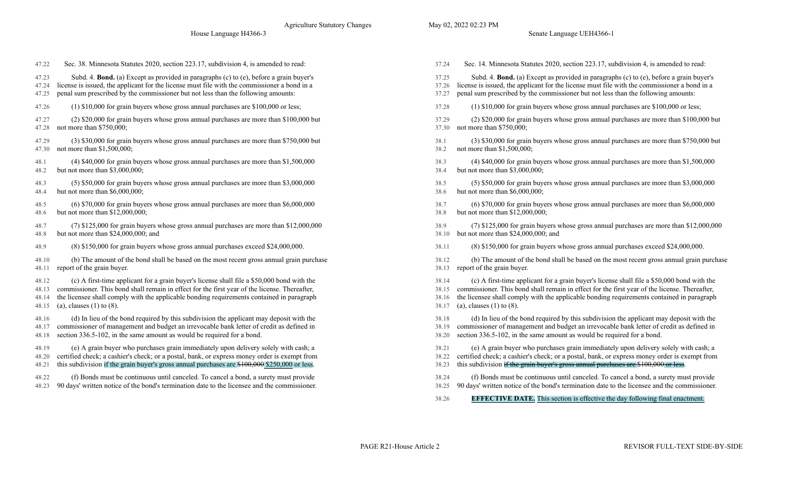| 47.22 | Sec. 38. Minnesota Statutes 2020, section 223.17, subdivision 4, is amended to read:          | 37.24 | Sec. 14. Minnesota Statutes 2020, section 223.17, subdivision 4, is amended to read:          |
|-------|-----------------------------------------------------------------------------------------------|-------|-----------------------------------------------------------------------------------------------|
| 47.23 | Subd. 4. Bond. (a) Except as provided in paragraphs (c) to (e), before a grain buyer's        | 37.25 | Subd. 4. Bond. (a) Except as provided in paragraphs (c) to (e), before a grain buyer's        |
| 47.24 | license is issued, the applicant for the license must file with the commissioner a bond in a  | 37.26 | license is issued, the applicant for the license must file with the commissioner a bond in a  |
| 47.25 | penal sum prescribed by the commissioner but not less than the following amounts:             | 37.27 | penal sum prescribed by the commissioner but not less than the following amounts:             |
| 47.26 | $(1)$ \$10,000 for grain buyers whose gross annual purchases are \$100,000 or less;           | 37.28 | $(1)$ \$10,000 for grain buyers whose gross annual purchases are \$100,000 or less;           |
| 47.27 | (2) \$20,000 for grain buyers whose gross annual purchases are more than \$100,000 but        | 37.29 | (2) \$20,000 for grain buyers whose gross annual purchases are more than \$100,000 but        |
| 47.28 | not more than \$750,000;                                                                      |       | 37.30 not more than \$750,000;                                                                |
| 47.29 | (3) \$30,000 for grain buyers whose gross annual purchases are more than \$750,000 but        | 38.1  | (3) \$30,000 for grain buyers whose gross annual purchases are more than \$750,000 but        |
| 47.30 | not more than \$1,500,000;                                                                    | 38.2  | not more than \$1,500,000;                                                                    |
| 48.1  | (4) \$40,000 for grain buyers whose gross annual purchases are more than \$1,500,000          | 38.3  | (4) \$40,000 for grain buyers whose gross annual purchases are more than \$1,500,000          |
| 48.2  | but not more than \$3,000,000;                                                                | 38.4  | but not more than \$3,000,000;                                                                |
| 48.3  | (5) \$50,000 for grain buyers whose gross annual purchases are more than \$3,000,000          | 38.5  | (5) \$50,000 for grain buyers whose gross annual purchases are more than \$3,000,000          |
| 48.4  | but not more than \$6,000,000;                                                                | 38.6  | but not more than \$6,000,000;                                                                |
| 48.5  | (6) \$70,000 for grain buyers whose gross annual purchases are more than \$6,000,000          | 38.7  | $(6)$ \$70,000 for grain buyers whose gross annual purchases are more than \$6,000,000        |
| 48.6  | but not more than \$12,000,000;                                                               | 38.8  | but not more than $$12,000,000;$                                                              |
| 48.7  | (7) \$125,000 for grain buyers whose gross annual purchases are more than \$12,000,000        | 38.9  | (7) \$125,000 for grain buyers whose gross annual purchases are more than \$12,000,000        |
| 48.8  | but not more than \$24,000,000; and                                                           |       | 38.10 but not more than \$24,000,000; and                                                     |
| 48.9  | (8) \$150,000 for grain buyers whose gross annual purchases exceed \$24,000,000.              | 38.11 | (8) \$150,000 for grain buyers whose gross annual purchases exceed \$24,000,000.              |
| 48.10 | (b) The amount of the bond shall be based on the most recent gross annual grain purchase      | 38.12 | (b) The amount of the bond shall be based on the most recent gross annual grain purchase      |
| 48.11 | report of the grain buyer.                                                                    | 38.13 | report of the grain buyer.                                                                    |
| 48.12 | (c) A first-time applicant for a grain buyer's license shall file a \$50,000 bond with the    | 38.14 | (c) A first-time applicant for a grain buyer's license shall file a \$50,000 bond with the    |
| 48.13 | commissioner. This bond shall remain in effect for the first year of the license. Thereafter, | 38.15 | commissioner. This bond shall remain in effect for the first year of the license. Thereafter, |
| 48.14 | the licensee shall comply with the applicable bonding requirements contained in paragraph     | 38.16 | the licensee shall comply with the applicable bonding requirements contained in paragraph     |
| 48.15 | (a), clauses $(1)$ to $(8)$ .                                                                 | 38.17 | (a), clauses $(1)$ to $(8)$ .                                                                 |
| 48.16 | (d) In lieu of the bond required by this subdivision the applicant may deposit with the       | 38.18 | (d) In lieu of the bond required by this subdivision the applicant may deposit with the       |
| 48.17 | commissioner of management and budget an irrevocable bank letter of credit as defined in      | 38.19 | commissioner of management and budget an irrevocable bank letter of credit as defined in      |
| 48.18 | section 336.5-102, in the same amount as would be required for a bond.                        | 38.20 | section 336.5-102, in the same amount as would be required for a bond.                        |
| 48.19 | (e) A grain buyer who purchases grain immediately upon delivery solely with cash; a           | 38.21 | (e) A grain buyer who purchases grain immediately upon delivery solely with cash; a           |
| 48.20 | certified check; a cashier's check; or a postal, bank, or express money order is exempt from  | 38.22 | certified check; a cashier's check; or a postal, bank, or express money order is exempt from  |
| 48.21 | this subdivision if the grain buyer's gross annual purchases are \$100,000 \$250,000 or less. | 38.23 | this subdivision if the grain buyer's gross annual purchases are \$100,000 or less.           |
| 48.22 | (f) Bonds must be continuous until canceled. To cancel a bond, a surety must provide          | 38.24 | (f) Bonds must be continuous until canceled. To cancel a bond, a surety must provide          |
| 48.23 | 90 days' written notice of the bond's termination date to the licensee and the commissioner.  | 38.25 | 90 days' written notice of the bond's termination date to the licensee and the commissioner.  |
|       |                                                                                               | 38.26 | <b>EFFECTIVE DATE.</b> This section is effective the day following final enactment.           |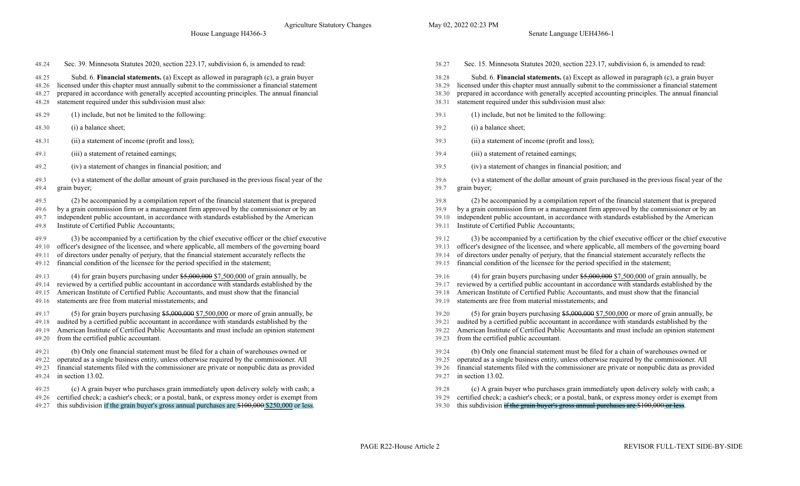48.25 Subd. 6. **Financial statements.** (a) Except as allowed in paragraph (c), a grain buyer 48.26 licensed under this chapter must annually submit to the commissioner a financial statement

- 48.27 prepared in accordance with generally accepted accounting principles. The annual financial
- 48.28 statement required under this subdivision must also:
- 48.29 (1) include, but not be limited to the following: 39.1 (1) include, but not be limited to the following:
- 
- 48.31 (ii) a statement of income (profit and loss); 39.3 (ii) a statement of income (profit and loss);
- 
- 49.2 (iv) a statement of changes in financial position; and 39.5 (iv) a statement of changes in financial position; and
- 49.3 (v) a statement of the dollar amount of grain purchased in the previous fiscal year of the 49.4 grain buyer;
- 49.5 (2) be accompanied by a compilation report of the financial statement that is prepared
- 49.6 by a grain commission firm or a management firm approved by the commissioner or by an
- 49.7 independent public accountant, in accordance with standards established by the American
- 49.8 Institute of Certified Public Accountants;
- 49.9 (3) be accompanied by a certification by the chief executive officer or the chief executive
- 49.10 officer's designee of the licensee, and where applicable, all members of the governing board
- 49.11 of directors under penalty of perjury, that the financial statement accurately reflects the
- 49.12 financial condition of the licensee for the period specified in the statement;
- 49.13 (4) for grain buyers purchasing under  $$5,000,000$  \$7,500,000 of grain annually, be
- 49.14 reviewed by a certified public accountant in accordance with standards established by the
- 49.15 American Institute of Certified Public Accountants, and must show that the financial
- 49.16 statements are free from material misstatements; and
- 49.17 (5) for grain buyers purchasing  $$5,000,000$   $\geq 7,500,000$  or more of grain annually, be
- 49.18 audited by a certified public accountant in accordance with standards established by the
- 49.19 American Institute of Certified Public Accountants and must include an opinion statement 49.20 from the certified public accountant.
- 49.21 (b) Only one financial statement must be filed for a chain of warehouses owned or
- 49.22 operated as a single business entity, unless otherwise required by the commissioner. All
- 49.23 financial statements filed with the commissioner are private or nonpublic data as provided 49.24 in section 13.02.
- 49.25 (c) A grain buyer who purchases grain immediately upon delivery solely with cash; a 49.26 certified check; a cashier's check; or a postal, bank, or express money order is exempt from
- 49.27 this subdivision if the grain buyer's gross annual purchases are  $$100,000$  \$250,000 or less.
- 
- 38.28 Subd. 6. **Financial statements.** (a) Except as allowed in paragraph (c), a grain buyer
- 38.29 licensed under this chapter must annually submit to the commissioner a financial statement
- 38.30 prepared in accordance with generally accepted accounting principles. The annual financial 38.31 statement required under this subdivision must also:
- 
- 
- 48.30 (i) a balance sheet; 39.2 (i) a balance sheet;
	-
- 49.1 (iii) a statement of retained earnings; 39.4 (iii) a statement of retained earnings;
	-
	- 39.6 (v) a statement of the dollar amount of grain purchased in the previous fiscal year of the 39.7 grain buyer;
	- 39.8 (2) be accompanied by a compilation report of the financial statement that is prepared
	- 39.9 by a grain commission firm or a management firm approved by the commissioner or by an
	- 39.10 independent public accountant, in accordance with standards established by the American
	- 39.11 Institute of Certified Public Accountants;
	- 39.12 (3) be accompanied by a certification by the chief executive officer or the chief executive
	- 39.13 officer's designee of the licensee, and where applicable, all members of the governing board
	- 39.14 of directors under penalty of perjury, that the financial statement accurately reflects the
	- 39.15 financial condition of the licensee for the period specified in the statement;
	- 39.16 (4) for grain buyers purchasing under  $$5,000,000$  \$7,500,000 of grain annually, be
	- 39.17 reviewed by a certified public accountant in accordance with standards established by the
	- 39.18 American Institute of Certified Public Accountants, and must show that the financial
	- 39.19 statements are free from material misstatements; and
	- $39.20$  (5) for grain buyers purchasing  $$5,000,000$  or more of grain annually, be
	- 39.21 audited by a certified public accountant in accordance with standards established by the
	- 39.22 American Institute of Certified Public Accountants and must include an opinion statement
	- 39.23 from the certified public accountant.
	- 39.24 (b) Only one financial statement must be filed for a chain of warehouses owned or
	- 39.25 operated as a single business entity, unless otherwise required by the commissioner. All
	- 39.26 financial statements filed with the commissioner are private or nonpublic data as provided 39.27 in section 13.02.
	- 39.28 (c) A grain buyer who purchases grain immediately upon delivery solely with cash; a
	- 39.29 certified check; a cashier's check; or a postal, bank, or express money order is exempt from
	- 39.30 this subdivision if the grain buyer's gross annual purchases are \$100,000 or less.